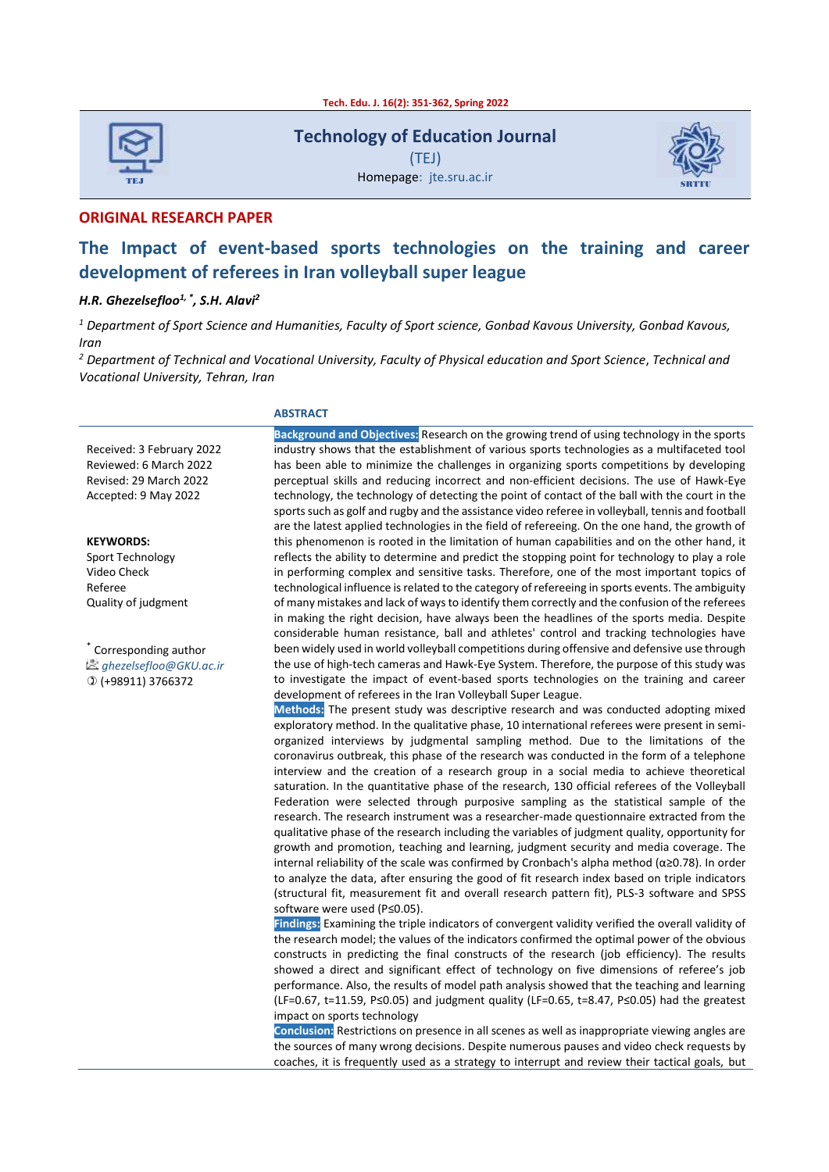

**Technology of Education Journal** (TEJ) Homepage: jte.sru.ac.ir



**ORIGINAL RESEARCH PAPER**

# **The Impact of event-based sports technologies on the training and career development of referees in Iran volleyball super league**

#### *H.R. Ghezelsefloo1, \* , S.H. Alavi<sup>2</sup>*

*<sup>1</sup> Department of Sport Science and Humanities, Faculty of Sport science, Gonbad Kavous University, Gonbad Kavous, Iran*

*<sup>2</sup> Department of Technical and Vocational University, Faculty of Physical education and Sport Science*, *Technical and Vocational University, Tehran, Iran*

#### **ABSTRACT**

Received: 3 February 2022 Reviewed: 6 March 2022 Revised: 29 March 2022 Accepted: 9 May 2022

**KEYWORDS:** Sport Technology Video Check Referee Quality of judgment

\* Corresponding author *ghezelsefloo@GKU.ac.ir*  $(D$  (+98911) 3766372

**Background and Objectives:** Research on the growing trend of using technology in the sports industry shows that the establishment of various sports technologies as a multifaceted tool has been able to minimize the challenges in organizing sports competitions by developing perceptual skills and reducing incorrect and non-efficient decisions. The use of Hawk-Eye technology, the technology of detecting the point of contact of the ball with the court in the sports such as golf and rugby and the assistance video referee in volleyball, tennis and football are the latest applied technologies in the field of refereeing. On the one hand, the growth of this phenomenon is rooted in the limitation of human capabilities and on the other hand, it reflects the ability to determine and predict the stopping point for technology to play a role in performing complex and sensitive tasks. Therefore, one of the most important topics of technological influence is related to the category of refereeing in sports events. The ambiguity of many mistakes and lack of waysto identify them correctly and the confusion of the referees in making the right decision, have always been the headlines of the sports media. Despite considerable human resistance, ball and athletes' control and tracking technologies have been widely used in world volleyball competitions during offensive and defensive use through the use of high-tech cameras and Hawk-Eye System. Therefore, the purpose of this study was to investigate the impact of event-based sports technologies on the training and career development of referees in the Iran Volleyball Super League.

**Methods:** The present study was descriptive research and was conducted adopting mixed exploratory method. In the qualitative phase, 10 international referees were present in semiorganized interviews by judgmental sampling method. Due to the limitations of the coronavirus outbreak, this phase of the research was conducted in the form of a telephone interview and the creation of a research group in a social media to achieve theoretical saturation. In the quantitative phase of the research, 130 official referees of the Volleyball Federation were selected through purposive sampling as the statistical sample of the research. The research instrument was a researcher-made questionnaire extracted from the qualitative phase of the research including the variables of judgment quality, opportunity for growth and promotion, teaching and learning, judgment security and media coverage. The internal reliability of the scale was confirmed by Cronbach's alpha method (α≥0.78). In order to analyze the data, after ensuring the good of fit research index based on triple indicators (structural fit, measurement fit and overall research pattern fit), PLS-3 software and SPSS software were used (P≤0.05).

**Findings:** Examining the triple indicators of convergent validity verified the overall validity of the research model; the values of the indicators confirmed the optimal power of the obvious constructs in predicting the final constructs of the research (job efficiency). The results showed a direct and significant effect of technology on five dimensions of referee's job performance. Also, the results of model path analysis showed that the teaching and learning (LF=0.67, t=11.59, P≤0.05) and judgment quality (LF=0.65, t=8.47, P≤0.05) had the greatest impact on sports technology

**Conclusion:** Restrictions on presence in all scenes as well as inappropriate viewing angles are the sources of many wrong decisions. Despite numerous pauses and video check requests by coaches, it is frequently used as a strategy to interrupt and review their tactical goals, but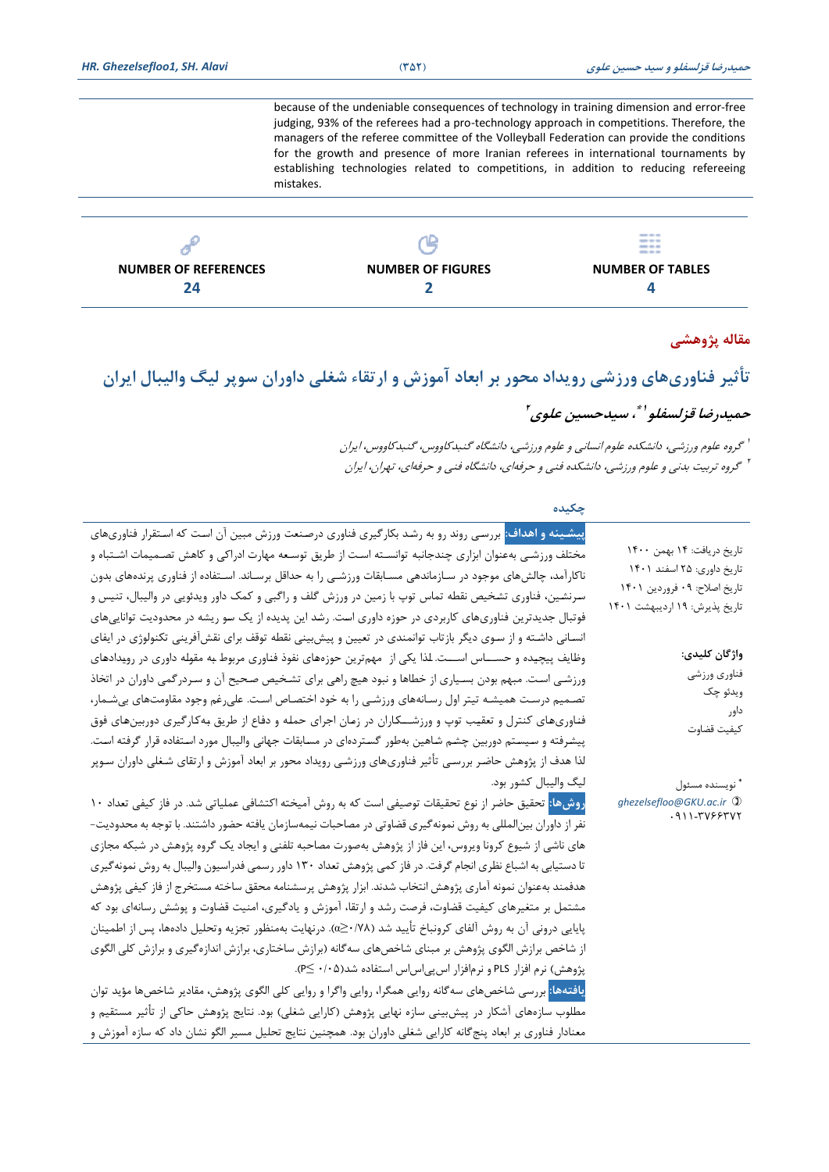because of the undeniable consequences of technology in training dimension and error-free judging, 93% of the referees had a pro-technology approach in competitions. Therefore, the managers of the referee committee of the Volleyball Federation can provide the conditions for the growth and presence of more Iranian referees in international tournaments by establishing technologies related to competitions, in addition to reducing refereeing mistakes.

|                          | <b>SHELF</b> AND AND<br>---<br>---<br>--- |
|--------------------------|-------------------------------------------|
| <b>NUMBER OF FIGURES</b> | <b>NUMBER OF TABLES</b>                   |
|                          |                                           |
|                          |                                           |

## **مقاله پژوهشی**

# **تأثیر فناوریهای ورزشی رویداد محور بر ابعاد آموزش و ارتقاء شغلی داوران سوپر لیگ والیبال ایران**

# **حمیدرضا قزلسفلو ، سیدحسین علوی 1\* 2**

1 گروه علوم ورزشی، دانشکده علوم انسانی و علوم ورزشی، دانشگاه گنبدکاووس، گنبدکاووس، ایران 2 گروه تربیت بدنی و علوم ورزشی، دانشکده فنی و حرفه ای، دا نشگاه فنی و حرفهای، تهران، ایران

| چکیده                                                                                                                                                                                                                                                                                                                                                                                                                                                                                                                                                                                                                                                                                                                                                                                                                                                                                                                                                                                                                                                                                                                                                                                                                                                                                                                                        |                                                                                                                           |
|----------------------------------------------------------------------------------------------------------------------------------------------------------------------------------------------------------------------------------------------------------------------------------------------------------------------------------------------------------------------------------------------------------------------------------------------------------------------------------------------------------------------------------------------------------------------------------------------------------------------------------------------------------------------------------------------------------------------------------------------------------------------------------------------------------------------------------------------------------------------------------------------------------------------------------------------------------------------------------------------------------------------------------------------------------------------------------------------------------------------------------------------------------------------------------------------------------------------------------------------------------------------------------------------------------------------------------------------|---------------------------------------------------------------------------------------------------------------------------|
| <mark>پیشینه و اهداف: بررس</mark> ی روند رو به رشد بکارگیری فناوری درصنعت ورزش مبین آن است که استقرار فناوریهای<br>مختلف ورزشـی بهعنوان ابزاری چندجانبه توانسـته اسـت از طريق توسـعه مهارت ادراكی و كاهش تصـميمات اشـتباه و<br>ناکارآمد، چالشهای موجود در سـازماندهی مسـابقات ورزشـی را به حداقل برسـاند. اسـتفاده از فناوری پرندههای بدون<br>سرنشین، فناوری تشخیص نقطه تماس توپ با زمین در ورزش گلف و راگبی و کمک داور ویدئویی در والیبال، تنیس و<br>فوتبال جدیدترین فناوریهای کاربردی در حوزه داوری است. رشد این پدیده از یک سو ریشه در محدودیت تواناییهای                                                                                                                                                                                                                                                                                                                                                                                                                                                                                                                                                                                                                                                                                                                                                                                 | تاريخ دريافت: ١۴ بهمن ١۴٠٠<br>تاریخ داوری: ۲۵ اسفند ۱۴۰۱<br>تاريخ اصلاح: ٠٩ فروردين ١۴٠١<br>تاریخ پذیرش: ۱۹ اردیبهشت ۱۴۰۱ |
| انسانی داشته و از سوی دیگر بازتاب توانمندی در تعیین و پیش بینی نقطه توقف برای نقشآفرینی تکنولوژی در ایفای<br>وظایف پیچیده و حســـاس اســـت. لذا یکی از  مهمترین حوزههای نفوذ فناوری مربوط به مقوله داوری در رویدادهای<br>ورزشـي اسـت. مبهم بودن بسـياري از خطاها و نبود هيچ راهي براي تشـخيص صـحيح آن و سـردرگمي داوران در اتخاذ<br>تصـمیم درسـت همیشـه تیتر اول رسـانههای ورزشـی را به خود اختصـاص اسـت. علی٫رغم وجود مقاومتـهای بیِشـمار،<br>فناوريهاي كنترل و تعقيب توپ و ورزشـــكاران در زمان اجراي حمله و دفاع از طريق بهكارگيري دوربينهاي فوق<br>پیشرفته و سیستم دوربین چشم شاهین بهطور گستردهای در مسابقات جهانی والیبال مورد استفاده قرار گرفته است.<br>لذا هدف از پژوهش حاضر بررسی تأثیر فناوریهای ورزشی رویداد محور بر ابعاد آموزش و ارتقای شغلی داوران سوپر                                                                                                                                                                                                                                                                                                                                                                                                                                                                                                                                                                       | واژگان كليدى:<br>فناوري ورزشي<br>ويدئو چک<br>داور<br>كيفيت قضاوت                                                          |
| ليگ واليبال كشور بود.<br><mark>روشها:</mark> تحقیق حاضر از نوع تحقیقات توصیفی است که به روش آمیخته اکتشافی عملیاتی شد. در فاز کیفی تعداد ۱۰<br>نفر از داوران بینالمللی به روش نمونه گیری قضاوتی در مصاحبات نیمهسازمان یافته حضور داشتند. با توجه به محدودیت–<br>های ناشی از شیوع کرونا ویروس، این فاز از پژوهش بهصورت مصاحبه تلفنی و ایجاد یک گروه پژوهش در شبکه مجازی<br>تا دستیابی به اشباع نظری انجام گرفت. در فاز کمی پژوهش تعداد ۱۳۰ داور رسمی فدراسیون والیبال به روش نمونه گیری<br>هدفمند بهعنوان نمونه آماري پژوهش انتخاب شدند. ابزار پژوهش پرسشنامه محقق ساخته مستخرج از فاز كيفي پژوهش<br>مشتمل بر متغیرهای کیفیت قضاوت، فرصت رشد و ارتقا، آموزش و یادگیری، امنیت قضاوت و پوشش رسانهای بود که<br>پایایی درونی آن به روش آلفای کرونباخ تأیید شد (α≥۰/۷۸). درنهایت بهمنظور تجزیه وتحلیل دادهها، پس از اطمینان<br>از شاخص برازش الگوی پژوهش بر مبنای شاخصهای سهگانه (برازش ساختاری، برازش اندازهگیری و برازش کلی الگوی<br>پژوهش) نرم افزار PLS و نرم فزار اسپی س س استفاده شد(۰/۰۵ ≥P).<br><b>یافتهها: بر</b> رسی شاخصهای سهگانه روایی همگرا، روایی واگرا و روایی کلی الگوی پژوهش، مقادیر شاخصها مؤید توان<br>مطلوب سازەهاي آشكار در پيش.بيني سازه نهايي پژوهش (كارايي شغلي) بود. نتايج پژوهش حاكي از تأثير مستقيم و<br>معنادار فناوری بر ابعاد پنجگانه کارایی شغلی داوران بود. همچنین نتایج تحلیل مسیر الگو نشان داد که سازه آموزش و | <sup>"</sup> نويسنده مسئول<br>ghezelsefloo@GKU.ac.ir 1<br>$.911 - TV997VY$                                                |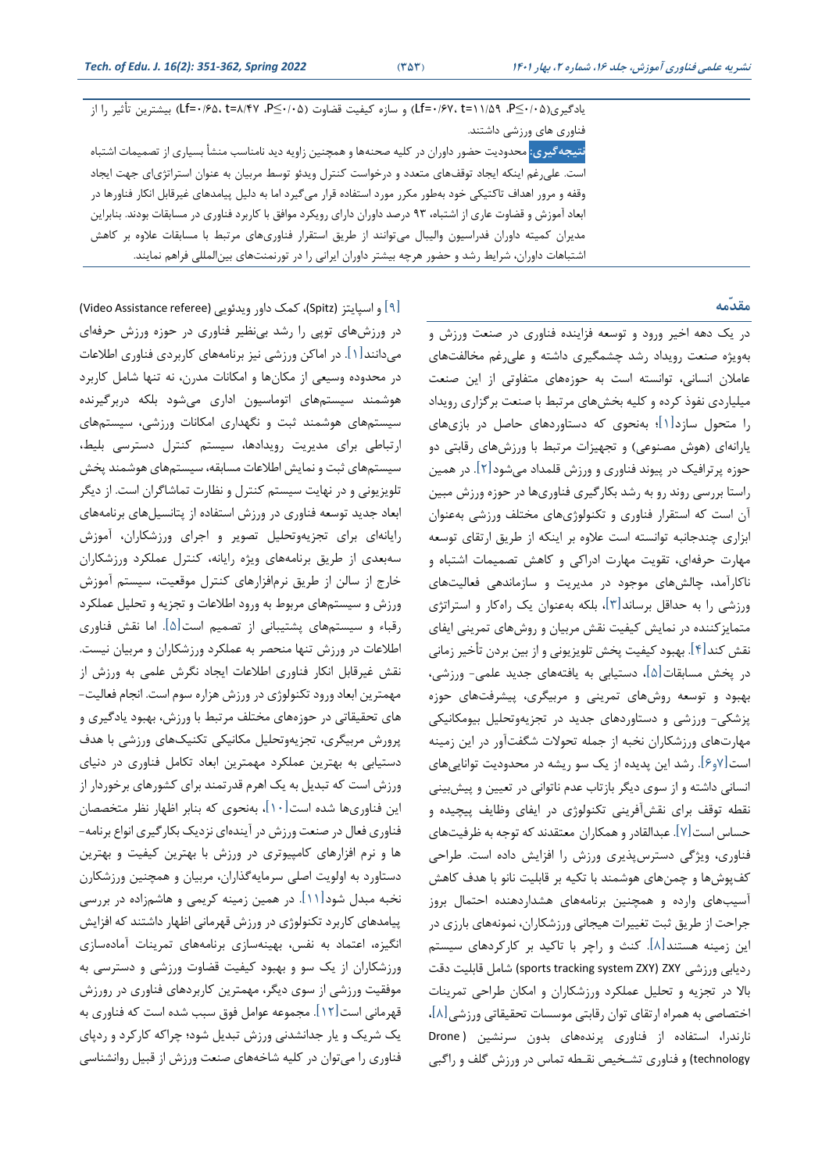یادگیری(If=۰/۶۷، t=۱۱/۵۹، P≤۰/۰۵) و سازه کیفیت قضاوت (If=۰/۶۵، t=۸/۴۷، p≤۰/۰۵) بیشترین تأثیر را از فناوری های ورزشی داشتند. <mark>نتیجهگیری:</mark> محدودیت حضور داوران در کلیه صحنهها و همچنین زاویه دید نامناسب منشأ بسیاری از تصمیمات اشتباه است. علیرغم اینکه ایجاد توقفهای متعدد و درخواست کنترل ویدئو توسط مربیان به عنوان استراتژیای جهت ایجاد وقفه و مرور اهداف تاکریکی طود بهیور مکرر مورد اسرفاده قرار میگیرد اما به دلیر پیامدهای غیرقابر انکار فناورها در

ابعاد آموزش و قضاوت عاری از اشتباه، ۹۳ درصد داوران دارای رویکرد موافق با کاربرد فناوری در مسابقات بودند. بنابراین مدیران کمیته داوران فدراسیون والیبال میتوانند از طریق استقرار فناوریهای مرتبط با مسابقات علاوه بر کاهش اشتباهات داوران، شرایط رشد و حضور هرچه بیشتر داوران ایرانی را در تورنمنتهای بینالمللی فراهم نمایند.

#### **مقدّمه**

در یک دهه اطیر ورود و توسته فزاینده فناوری در صنتت ورزش و بهویژه صنعت رویداد رشد چشمگیری داشته و علیرغم مخالفتهای عاملان انسانی، توانسته است به حوزههای متفاوتی از این صنعت میلیاردی نفوذ کرده و کلیه بخشهای مرتبط با صنعت برگزاری رویداد را مردول سازد ]1[؛ بهندوی که دسراوردهای حاصر در بازیهای یارانهای (هوش مصنوعی) و تجهیزات مرتبط با ورزشهای رقابتی دو حوزه پرترافیک در پیوند فناوری و ورزش قلمداد می شود] 2[ در همین راستا بررسی روند رو به رشد بکارگیری فناوریها در حوزه ورزش مبین آن است که استقرار فناوری و تکنولوژیهای مختلف ورزشی بهعنوان ابزاری چندجانبه توانسته است علاوه بر اینکه از طریق ارتقای توسعه مهارت حرفهای، تقویت مهارت ادراکی و کاهش تصمیمات اشتباه و ناکارآمد، چالصهای موجود در مدیریت و سازماندهی فتالیتهای ورزشی را به حداقر برساند]3[، بلکه بهعنوان یک راهکار و اسرراتژی متمایزکننده در نمایش کیفیت نقش مربیان و روشهای تمرینی ایفای نقش کند[۴]. بهبود کیفیت پخش تلویزیونی و از بین بردن تأخیر زمانی در پخش مسابقات $[\![\mathbb{\triangle}]\!]$ ، دستیابی به یافتههای جدید علمی- ورزشی، بهبود و توسته روشهای تمرینی و مربیگری، پیشرفتهای حوزه پزشکی- ورزشی و دسراوردهای جدید در تجزیهوتدلیر بیومکانیکی مهارتهای ورزشکاران نخبه از جمله تدوالت شگفتآور در این زمینه است ]7و6[ رشد این پدیده از یک سو ریشه در مددودیت تواناییهای انسانی داشته و از سوی دیگر بازتاب عدم ناتوانی در تعیین و پیشبینی نقطه توقف برای نقشآفرینی تکنولوژی در ایفای وظایف پیچیده و حساس است]7[ عبدالاادر و همکاران مترادند که توجه به ظرفیتهای فناوری، ویژگی دسررسپذیری ورزش را افزایص داده است یراحی کفپوشها و چمن های هوشمند با تکیه بر قابلیت نانو با هدف کاهص آسیتهای وارده و همینین برنامههای هشداردهنده احرمال بروز جراحت از یریت ثبت تلییرات هیجانی ورزشکاران، نمونههای بارزی در این زمینه هستند[۸]. کنث و راچر با تاکید بر کارکردهای سیستم ردیابی ورزشی ZXY( ZXY system tracking sports )شامر قابلیت دقت باال در تجزیه و تدلیر عملکرد ورزشکاران و امکان یرا حی تمرینات اختصاصی به همراه ارتقای توان رقابتی موسسات تحقیقاتی ورزشی [۸]، نارندرا، استفاده از فناوری پرندههای بدون سرنشین (Drone technology) و فناوری تشخیص نقـطه تماس در ورزش گلف و راگبی

]9[ و اسپایرز )Spitz)، کمک داور ویدئویی )referee Assistance Video ) در ورزشهای توپی را رشد بی نظیر فناوری در حوزه ورزش حرفهای میدانند[۱]. در اماکن ورزشی نیز برنامههای کاربردی فناوری اطلاعات در مددوده وسیتی از مکانها و امکانات مدرن، نه تنها شامر کاربرد هوشمند سیسر های اتوماسیون اداری میشود بلکه دربرگیرنده سیستمهای هوشمند ثبت و نگهداری امکانات ورزشی، سیستمهای ارتباطی برای مدیریت رویدادها، سیستم کنترل دسترسی بلیط، سیستمهای ثبت و نمایش اطلاعات مسابقه، سیستمهای هوشمند پخش تلویزیونی و در نهایت سیسر کنررل و نظارت تماشاگران است از دیگر ابتاد جدید توسته فناوری در ورزش اسرفاده از پرانسیرهای برنامههای رایانهای برای تجزیهوتدلیر تمویر و اجرای ورزشکاران، آموزش سهبتدی از یریت برنامههای ویژه رایانه، کنررل عملکرد ورزشکاران خارج از سالن از طریق نرمافزارهای کنترل موقعیت، سیستم آموزش ورزش و سیستمهای مربوط به ورود اطلاعات و تجزیه و تحلیل عملکرد رقباء و سیسر های پشریبانی از تممی است]5[ اما ناص فناوری اطلاعات در ورزش تنها منحصر به عملکرد ورزشکاران و مربیان نیست. نقش غیرقابل انکار فناوری اطلاعات ایجاد نگرش علمی به ورزش از مهمررین ابتاد ورود تکنولوژی در ورزش هزاره سوم است انجام فتالیت- های تحقیقاتی در حوزههای مختلف مرتبط با ورزش، بهبود یادگیری و پرورش مربیگری، تجزیهوتحلیل مکانیکی تکنیکهای ورزشی با هدف دستیابی به بهترین عملکرد مهمترین ابعاد تکامل فناوری در دنیای ورزش است که تبدیر به یک اهرم قدرتمند برای کشورهای برطوردار از این فناوریها شده است]10[ ، بهندوی که بنابر اظهار نظر مرخممان فناوری فعال در صنعت ورزش در آیندهای نزدیک بکار گیری انواع برنامه-ها و نرم افزارهای کامپیوتری در ورزش با بهررین کیفیت و بهررین دستاورد به اولویت اصلی سرمایهگذاران، مربیان و همچنین ورزشکارن نخبه مبدل شود]11[ در همین زمینه کریمی و هاش زاده در بررسی پیامدهای کاربرد تکنولوژی در ورزش قهرمانی اظهار داشرند که افزایص انگیزه، اعتماد به نفس، بهینهسازی برنامههای تمرینات آمادهسازی ورزشکاران از یک سو و بهبود کیفیت قضاوت ورزشی و دسررسی به موفقیت ورزشی از سوی دیگر، مهمترین کاربردهای فناوری در رورزش قهرمانی است]12[ مجموعه عوامر فو سبت شده است که فناور ی به یک شریک و یار جدانشدنی ورزش تبدیر شود؛ چراکه کارکرد و ردپای فناوری را میتوان در کلیه شاطههای صنتت ورزش از قبیر روانشناسی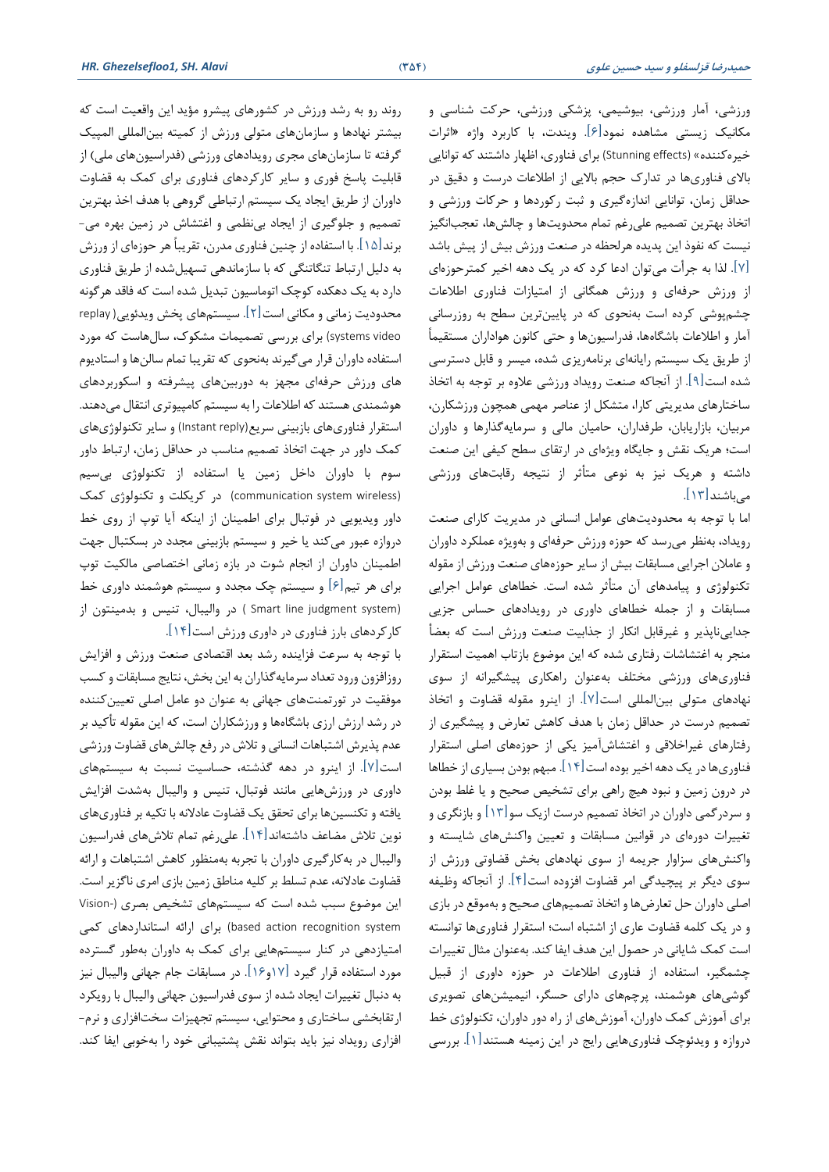ورزشی، آمار ورزشی، بی وشیمی، پزشکی ورزشی، حرکت شناسی و مکانیک زیستی مشاهده نمود<sup>[۶]</sup>. ویندت، با کاربرد واژه «اثرات خیره کننده» (Stunning effects) برای فناوری، اظهار داشتند که توانایی باالی فناوریها در تدارک حج باالیی از ایالعات درست و دقیت در حداقر زمان، توانایی اندازهگیری و ثبت رکوردها و حرکات ورزشی و اتخاذ بهترین تصمیم علی رغم تمام محدویتها و چالشها، تعجبانگیز نیست که نفو این پدیده هرلدظه در صنتت ورزش بیص از پیص باشد ]7[ لذا به جرأت میتوان ادعا کرد که در یک دهه اطیر کمررحوزه ای از ورزش حرفهای و ورزش همگانی از امتیازات فناوری اطلاعات چشم پوشی کرده است بهنحوی که در پایینترین سطح به روزرسانی آمار و اطلاعات باشگاهها، فدراسیونها و حتی کانون هواداران مستقیماً از طریق یک سیستم رایانهای برنامهریزی شده، میسر و قابل دسترسی شده است ]9[ از آنجاکه صنتت رویداد ورزشی عالوه بر توجه به اتخا ساختارهای مدیریتی کارا، متشکل از عناصر مهمی همچون ورزشکارن، مربیان، بازاریابان، یرفداران، حامیان مالی و سرمایهگذارها و داوران است؛ هریک نقش و جایگاه ویژهای در ارتقای سطح کیفی این صنعت داشته و هریک نیز به نوعی متأثر از نتیجه رقابتهای ورزشی میباشند]13[

اما با توجه به مددودیتهای عوامر انسانی در مدیریت کارای صنتت رویداد، بهنظر میرسد که حوزه ورزش حرفهای و بهویژه عملکرد داوران و عاملان اجرایی مسابقات بیش از سایر حوزههای صنعت ورزش از مقوله تکنولوژی و پیامدهای آن مرأثر شده است طهاهای عوامر اجرایی مسابقات و از جمله خطاهای داوری در رویدادهای حساس جزیی جداییناپذیر و غیرقابر انکار از جذابیت صنتت ورزش است که بتضأ منجر به اغتشاشات رفتاری شده که این موضوع بازتاب اهمیت استقرار فناوریهای ورزشی مخرلف بهعنوان راهکاری پیشگیرانه از سوی نهادهای مرولی بینالمللی است ]7[ از اینرو ماوله قضاوت و اتخا تصمیم درست در حداقل زمان با هدف کاهش تعارض و پیشگیری از رفتارهای غیراخلاقی و اغتشاش آمیز یکی از حوزههای اصلی استقرار فناوریها در یک دهه اطیر بوده است] 14[ مبه بودن بسیاری از طهاها در درون زمین و نبود هیچ راهی برای تشخیص صحیح و یا غلط بودن و سردرگمی داوران در اتخاذ تصمیم درست ازیک سو $[11]$  و بازنگری و تغییرات دورهای در قوانین مسابقات و تعیین واکنشهای شایسته و واکنصهای سزاوار جریمه از سوی نهادهای بخص قضاوتی ورزش از سوی دیگر بر پیییدگی امر قضاوت افزوده است]4[ از آنجاکه وظیفه اصلی داوران حل تعارضها و اتخاذ تصمیمهای صحیح و بهموقع در بازی و در یک کلمه قضاوت عاری از اشتباه است؛ استقرار فناوریها توانسته است کمک شایانی در حمول این هدف ایفا کند بهعنوان مثال تلییرات چشمگیر، استفاده از فناوری اطلاعات در حوزه داوری از قبیل گوشیهای هوشمند، پرچمهای دارای حسگر، انیمیشنهای تصویری برای آموزش کمک داوران، آموزشهای از راه دور داوران، تکنولوژی خط دروازه و ویدئوچک فناوریهایی رایج در این زمینه هسرند]1[ بررسی

روند رو به رشد ورزش در کشورهای پیشرو مؤید این واقتیت است که بیشرر نهادها و سازمانهای مرولی ورزش از کمیره بینالمللی المپیک گرفته تا سازمانهای مجری رویدادهای ورزشی (فدراسیونهای ملی) از قابلیت پاسخ فوری و سایر کارکردهای فناوری برای کمک به قضاوت داوران از طریق ایجاد یک سیستم ارتباطی گروهی با هدف اخذ بهترین تصمیم و جلوگیری از ایجاد بینظمی و اغتشاش در زمین بهره می-برند[۱۵]. با استفاده از چنین فناوری مدرن، تقریباً هر حوزهای از ورزش به دلیل ارتباط تنگاتنگی که با سازماندهی تسهیل شده از طریق فناوری دارد به یک دهکده کوچک اتوماسیون تبدیل شده است که فاقد هرگونه محدودیت زمانی و مکانی است[۲]. سیستمهای پخش ویدئویی( replay video systems )برای بررسی تممیمات مشکوک، سالهاست که مورد استفاده داوران قرار می گیرند بهنحوی که تقریبا تمام سالنها و استادیوم های ورزش حرفهای مجهز به دوربینهای پیشرفته و اسکوربردهای هوشمندی هستند که اطلاعات را به سیستم کامپیوتری انتقال میدهند. استقرار فناوریهای بازبینی سریع(Instant reply) و سایر تکنولوژیهای کمک داور در جهت اتخاذ تصمیم مناسب در حداقل زمان، ارتباط داور سوم با داوران داخل زمین یا استفاده از تکنولوژی بیسیم )wireless system communication )در کریکلت و تکنولوژی کمک داور ویدیویی در فوتبال برای اطمینان از اینکه آیا توپ از روی خط دروازه عبور میکند یا طیر و سیسر بازبینی مجدد در بسکربال جهت اطمینان داوران از انجام شوت در بازه زمانی اختصاصی مالکیت توپ برای هر تیم[۶] و سیستم چک مجدد و سیستم هوشمند داوری خط (Smart line judgment system ) در والیبال، تنیس و بدمینتون از کارکردهای بارز فناوری در داوری ورزش است ]14[

با توجه به سرعت فزاینده رشد بتد اقرمادی صنتت ورزش و افزایص روزافزون ورود تعداد سرمایهگذاران به این بخش، نتایج مسابقات و کسب موفقیت در تورتمنتهای جهانی به عنوان دو عامل اصلی تعیین کننده در رشد ارزش ارزی باشگاهها و ورزشکاران است، که این مقوله تأکید بر عدم پذیرش اشتباهات انسانی و تلاش در رفع چالش های قضاوت ورزشی است ]7[ از اینرو در دهه گذشره، حساسیت نسبت به سیسر ها ی داوری در ورزشهایی مانند فوتبال، تنیس و والیبال بهشدت افزایش یافته و تکنسینها برای تحقق یک قضاوت عادلانه با تکیه بر فناوریهای نوین تلاش مضاعف داشتهاند $[16]$ . علیرغم تمام تلاشهای فدراسیون والیبال در بهکارگیری داوران با تجربه بهمنظور کاهص اشرباهات و ارائه قضاوت عادالنه، عدم تسلط بر کلیه منایت زمین بازی امری ناگزیر است این موضوع سبب شده است که سیستمهای تشخیص بصری (-Vision based action recognition system) برای ارائه استانداردهای کمی امتیازدهی در کنار سیستمهایی برای کمک به داوران بهطور گسترده مورد استفاده قرار گیرد [۱۲و۱۶]. در مسابقات جام جهانی والیبال نیز به دنبال تغییرات ایجاد شده از سوی فدراسیون جهانی والیبال با رویکرد ارتقابخشی ساختاری و محتوایی، سیستم تجهیزات سختافزاری و نرم-افزاری رویداد نیز باید بتواند نقش پشتیبانی خود را بهخوبی ایفا کند.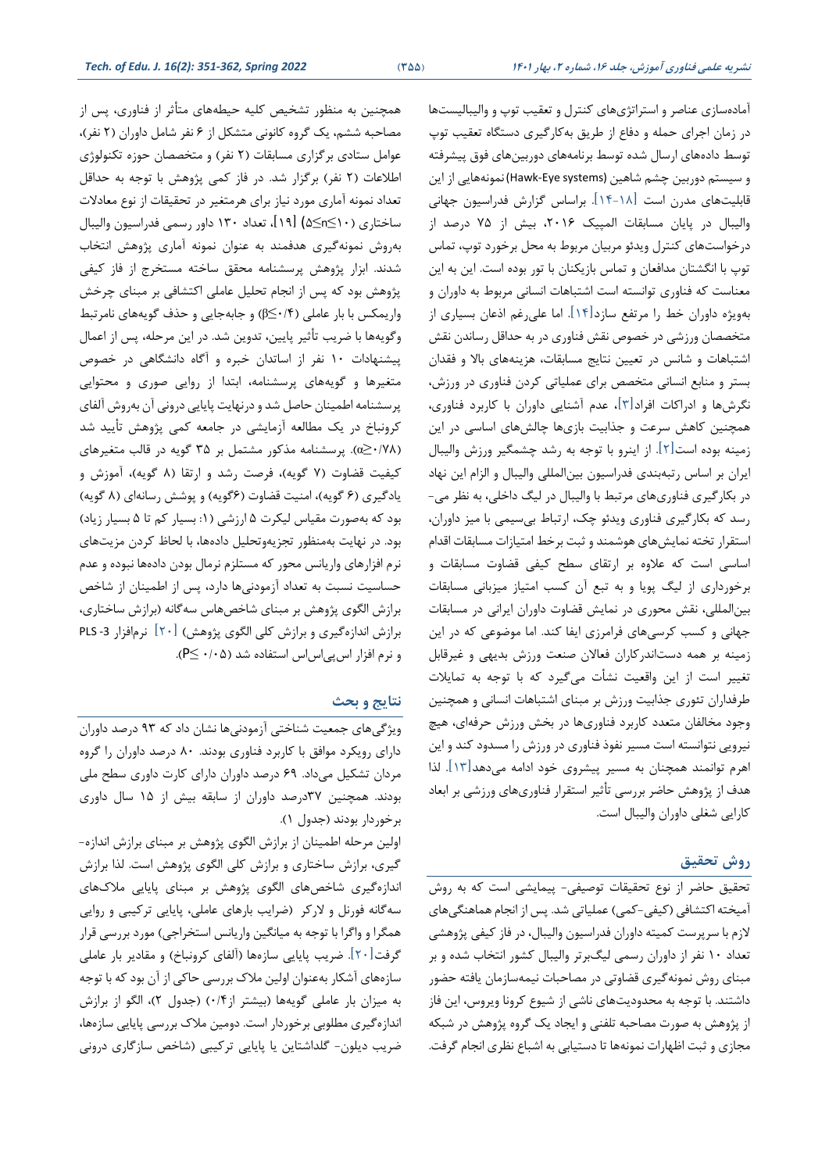آمادهسازی عناصر و استراتژیهای کنترل و تعقیب توپ و والیبالیستها در زمان اجرای حمله و دفاع از طریق بهکارگیری دستگاه تعقیب توپ توسط دادههای ارسال شده توسط برنامههای دوربینهای فوق پیشرفته و سیستم دوربین چشم شاهین (Hawk-Eye systems) نمونههایی از این قابلیتهای مدرن است ]14-18[ براساس گزارش فدراسیون جهانی والیبال در پایان مسابقات المپیک ۲۰۱۶، بیش از ۷۵ درصد از درخواستهای کنترل ویدئو مربیان مربوط به محل برخورد توپ، تماس توپ با انگشتان مدافعان و تماس بازیکنان با تور بوده است. این به این معناست که فناوری توانسته است اشتباهات انسانی مربوط به داوران و بهویژه داوران طط را مرتفع سازد]14[ اما علیرغ ا عان بسیاری از متخصصان ورزشی در خصوص نقش فناوری در به حداقل رساندن نقش اشتباهات و شانس در تعیین نتایج مسابقات، هزینههای بالا و فقدان بستر و منابع انسانی متخصص برای عملیاتی کردن فناوری در ورزش، نگرشها و ادراکات افراد]3[، عدم آشنایی داوران با کاربرد فناوری، همچنین کاهش سرعت و جذابیت بازیها چالشهای اساسی در این زمینه بوده است ]2[ از اینرو با توجه به رشد چشمگیر ورزش والیبال ایران بر اساس رتبهبندی فدراسیون بینالمللی والیبال و الزام این نها د در بکارگیری فناوریهای مرتبط با والیبال در لیگ داطلی، به نظر می- رسد که بکارگیری فناوری ویدئو چک، ارتباب بیسیمی با میز داوران، استقرار تخته نمایش های هوشمند و ثبت برخط امتیازات مسابقات اقدام اساسی است که علاوه بر ارتقای سطح کیفی قضاوت مسابقات و برخورداری از لیگ پویا و به تبع آن کسب امتیاز میزبانی مسابقات بینالمللی، نقش محوری در نمایش قضاوت داوران ایرانی در مسابقات جهانی و کست کرسیهای فرامرزی ایفا کند اما موضوعی که در این زمینه بر همه دستاندرکاران فتاالن صنتت ورزش بدیهی و غیرقابر تلییر است از این واقتیت نشأت میگیرد که با توجه به تمایالت طرفداران تئوری جذابیت ورزش بر مبنای اشتباهات انسانی و همچنین وجود مخالفان متعدد کاربرد فناوریها در بخش ورزش حرفهای، هیچ نیرویی نتوانسته است مسیر نفوذ فناوری در ورزش را مسدود کند و این اهرم توانمند همینان به مسیر پیشروی طود ادامه میدهد ]13[ لذا هدف از پژوهش حاضر بررسی تأثیر استقرار فناوریهای ورزشی بر ابعاد کارایی شغلی داوران والیبال است.

# **روش تحقیق**

تحقیق حاضر از نوع تحقیقات توصیفی- پیمایشی است که به روش آمیخته اکتشافی (کیفی-کمی) عملیاتی شد. پس از انجام هماهنگیهای لازم با سرپرست کمیته داوران فدراسیون والیبال، در فاز کیفی پژوهشی تتداد 10 نفر از داوران رسمی لیگبرتر والیبال کشور انرخاو شده و بر مبنای روش نمونهگیری قضاوتی در مصاحبات نیمهسازمان یافته حضور داشتند. با توجه به محدودیتهای ناشی از شیوع کرونا ویروس، این فاز از پژوهش به صورت مصاحبه تلفنی و ایجاد یک گروه پژوهش در شبکه مجازی و ثبت اظهارات نمونهها تا دستیابی به اشباع نظری انجام گرفت.

همچنین به منظور تشخیص کلیه حیطههای متأثر از فناوری، پس از مصاحبه ششم، یک گروه کانونی متشکل از ۶ نفر شامل داوران (۲ نفر)، عوامل ستادی برگزاری مسابقات (۲ نفر) و متخصصان حوزه تکنولوژی اطلاعات (۲ نفر) برگزار شد. در فاز کمی پژوهش با توجه به حداقل تعداد نمونه آماری مورد نیاز برای هرمتغیر در تحقیقات از نوع معادلات ساختاری (۱۰≥۵≤۵) [۱۹]، تعداد ۱۳۰ داور رسمی فدراسیون والیبال بهروش نمونهگیری هدفمند به عنوان نمونه آماری پژوهص انرخاو شدند. ابزار پژوهش پرسشنامه محقق ساخته مستخرج از فاز کیفی پژوهش بود که پس از انجام تحلیل عاملی اکتشافی بر مبنای چرخش واریمکس با بار عاملی (۶/ −β) و جابهجایی و حذف گویههای نامرتبط وگویهها با ضریب تأثیر پایین، تدوین شد. در این مرحله، پس از اعمال پیشنهادات ١٠ نفر از اساتدان خبره و آگاه دانشگاهی در خصوص متغیرها و گویههای پرسشنامه، ابتدا از روایی صوری و محتوایی پرسشنامه ایمینان حاصر شد و درنهایت پایایی درونی آن بهروش آلفای کرونباخ در یک مهالته آزمایشی در جامته کمی پژوهص تأیید شد (۵⁄2/۶۰/۷۸). پرسشنامه مذکور مشتمل بر ۳۵ گویه در قالب متغیرهای کیفیت قضاوت (۷ گویه)، فرصت رشد و ارتقا (۸ گویه)، آموزش و یادگیری (۶ گویه)، امنیت قضاوت (۶گویه) و پوشش رسانهای (۸ گویه) بود که بهصورت مقیاس لیکرت ۵ ارزشی (۱: بسیار کم تا ۵ بسیار زیاد) بود در نهایت بهمنظور تجزیهوتدلیر دادهها، با لداظ کردن مزیتهای نرم افزارهای واریانس محور که مستلزم نرمال بودن دادهها نبوده و عدم حساسیت نسبت به تعداد آزمودنیها دارد، پس از اطمینان از شاخص برازش الگوی پژوهش بر مبنای شاخصهاس سهگانه (برازش ساختاری، برازش اندازهگیری و برازش کلی الگوی پژوهص( ]20[ نرم افزار -3 PLS و نرم افزار اسپی اس استفاده شد (۰/۰۵).

## **نتایج و بحث**

ویژگیهای جمتیت شناطری آزمودنیها نشان داد که 93 درصد داوران دارای رویکرد موافت با کاربرد فناوری بودند 80 درصد داوران را گروه مردان تشکیر میداد 69 درصد داوران دارای کارت داوری سهح ملی بودند. همچنین ٣٧درصد داوران از سابقه بیش از ١۵ سال داوری برخوردار بودند (جدول ۱).

اولین مرحله اطمینان از برازش الگوی پژوهش بر مبنای برازش اندازه-گیری، برازش ساطراری و برازش کلی الگوی پژوهص است لذا برازش اندازهگیری شاخصهای الگوی پژوهش بر مبنای پایایی ملاکهای سهگانه فورنل و لارکر (ضرایب بارهای عاملی، پایایی ترکیبی و روایی همگرا و واگرا با توجه به میانگین واریانس استخراجی) مورد بررسی قرار گرفت[۲۰]. ضریب پایایی سازهها (آلفای کرونباخ) و مقادیر بار عاملی سازههای آشکار به عنوان اولین مالک بررسی حاکی از آن بود که با توجه به میزان بار عاملی گویهها (بیشتر از ۰/۴) (جدول ۲)، الگو از برازش اندازهگیری مطلوبی برخوردار است. دومین ملاک بررسی پایایی سازهها، ضریب دیلون- گلداشتاین یا پایایی ترکیبی (شاخص سازگاری درونی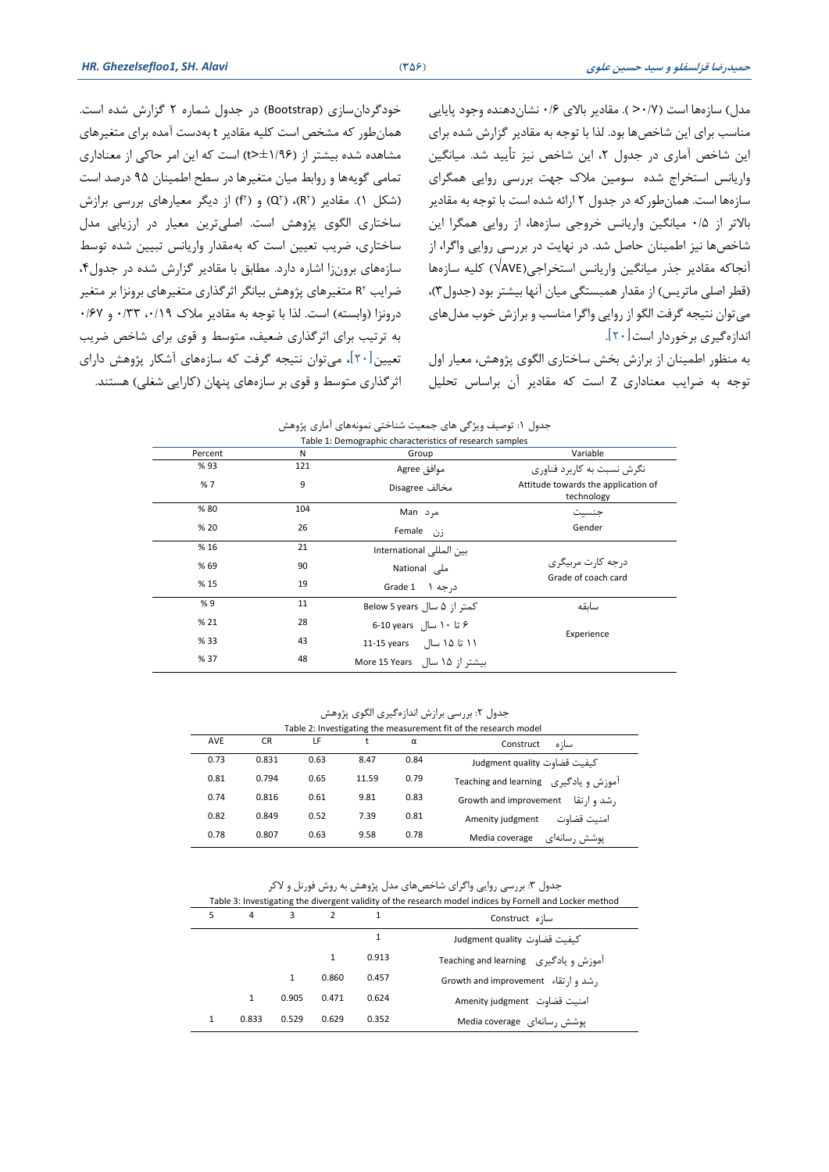مدل) سازهها است (٧/٠< ). مقادیر بالای ٠/۶ نشاندهنده وجود پایایی مناسب برای این شاخصها بود. لذا با توجه به مقادیر گزارش شده برای این شاخص آماری در جدول ۲، این شاخص نیز تأیید شد. میانگین واریانس استخراج شده سومین ملاک جهت بررسی روایی همگرای سازهها است. همان طورکه در جدول ۲ ارائه شده است با توجه به مقادیر بالاتر از ۰/۵ میانگین واریانس خروجی سازهها، از روایی همگرا این شاخصها نیز اطمینان حاصل شد. در نهایت در بررسی روایی واگرا، از آنجاکه مقادیر جذر میانگین واریانس استخراجی(VAVE) کلیه سازهها (قطر اصلی ماتریس) از مقدار همبستگی میان آنها بیشتر بود (جدول٣)، می توان نتیجه گرفت الگو از روایی واگرا مناسب و برازش خوب مدل های اندازهگیری برطوردار است]20[

به منظور ایمینان از برازش بخص ساطراری الگوی پژوهص، متیار اول توجه به ضرایت متناداری Z است که ماادیر آن براساس تدلیر

طودگردانسازی )Bootstrap )در جدول شماره 2 گزارش شده است همان طور که مشخص است کلیه مقادیر t بهدست آمده برای متغیرهای مشاهده شده بیشتر از (۱/۹۶±<t) است که این امر حاکی از معناداری تمامی گویهها و روابط میان متغیرها در سطح اطمینان ۹۵ درصد است (شکل ۱). مقادیر (R۲)، (Q۲) و (f۲) از دیگر معیارهای بررسی برازش ساختاری الگوی پژوهش است. اصلیترین معیار در ارزیابی مدل ساختاری، ضریب تعیین است که به مقدار واریانس تبیین شده توسط سازههای برونزا اشاره دارد. مطابق با مقادیر گزارش شده در جدول۴، ضرایب R۲ متغیرهای پژوهش بیانگر اثرگذاری متغیرهای برونزا بر متغیر درونزا (وابسته) است. لذا با توجه به مقادیر ملاک ۰/۳۲ ، /۳۳ و ۰/۶۷ به ترتیب برای اثرگذاری ضعیف، متوسط و قوی برای شاخص ضریب تعیین[۲۰]، می توان نتیجه گرفت که سازههای آشکار پژوهش دارای اثرگذاری متوسط و قوی بر سازههای پنهان (کارایی شغلی) هستند.

| Table 1: Demographic characteristics of research samples |     |                              |                                                   |  |  |  |
|----------------------------------------------------------|-----|------------------------------|---------------------------------------------------|--|--|--|
| Percent                                                  | N   | Group                        | Variable                                          |  |  |  |
| %93                                                      | 121 | موافق Agree                  | نگرش نسبت به کاربرد فناوری                        |  |  |  |
| %7                                                       | 9   | مخالف Disagree               | Attitude towards the application of<br>technology |  |  |  |
| %80                                                      | 104 | مرد Man                      | جنسيت                                             |  |  |  |
| % 20                                                     | 26  | زن Female                    | Gender                                            |  |  |  |
| % 16                                                     | 21  | بين المللي International     |                                                   |  |  |  |
| % 69                                                     | 90  | ملی National                 | د, جه کا,ت مربیگری                                |  |  |  |
| %15                                                      | 19  | د, جه ۱ Grade 1              | Grade of coach card                               |  |  |  |
| %9                                                       | 11  | کمتر از ۵ سال Below 5 years  | سائقه                                             |  |  |  |
| % 21                                                     | 28  | ۶ تا ۱۰ سال 6-10 years       |                                                   |  |  |  |
| % 33                                                     | 43  | 11 تا ۱۵ سال 11-15 years     | Experience                                        |  |  |  |
| % 37                                                     | 48  | سشتر از ۱۵ سال More 15 Years |                                                   |  |  |  |

جدول ۱: توصیف ویژگی های جمعیت شناختی نمونههای آماری پژوهش

جدول ۲: بررسی برازش اندازهگیری الگوی پژوهش

| Table 2: Investigating the measurement fit of the research model |           |      |       |      |                                         |  |
|------------------------------------------------------------------|-----------|------|-------|------|-----------------------------------------|--|
| AVE                                                              | <b>CR</b> | LF   |       | α    | Construct<br>سا; ہ                      |  |
| 0.73                                                             | 0.831     | 0.63 | 8.47  | 0.84 | كيفيت قضاوت Judgment quality            |  |
| 0.81                                                             | 0.794     | 0.65 | 11.59 | 0.79 | Teaching and learning راموزش و یادگیری  |  |
| 0.74                                                             | 0.816     | 0.61 | 9.81  | 0.83 | , شد و ا, تقا<br>Growth and improvement |  |
| 0.82                                                             | 0.849     | 0.52 | 7.39  | 0.81 | امنيت قضاوت<br>Amenity judgment         |  |
| 0.78                                                             | 0.807     | 0.63 | 9.58  | 0.78 | Media coverage<br>یوشش رسانهای          |  |

جدول ۳: بررسی روایی واگرای شاخصهای مدل پژوهش به روش فورنل و لاکر

| Table 3: Investigating the divergent validity of the research model indices by Fornell and Locker method |              |              |                |       |                                         |  |
|----------------------------------------------------------------------------------------------------------|--------------|--------------|----------------|-------|-----------------------------------------|--|
| 5                                                                                                        | 4            |              | $\overline{2}$ |       | سا;ه Construct                          |  |
|                                                                                                          |              |              |                | 1     | كيفيت قضاوت Judgment quality            |  |
|                                                                                                          |              |              | 1              | 0.913 | Teaching and learning ربادگیری          |  |
|                                                                                                          |              | $\mathbf{1}$ | 0.860          | 0.457 | , شد و آ, تقاء – Growth and improvement |  |
|                                                                                                          | $\mathbf{1}$ | 0.905        | 0.471          | 0.624 | Amenity judgment أمنيت قضاوت            |  |
|                                                                                                          | 0.833        | 0.529        | 0.629          | 0.352 | یوشش , سانهای Media coverage            |  |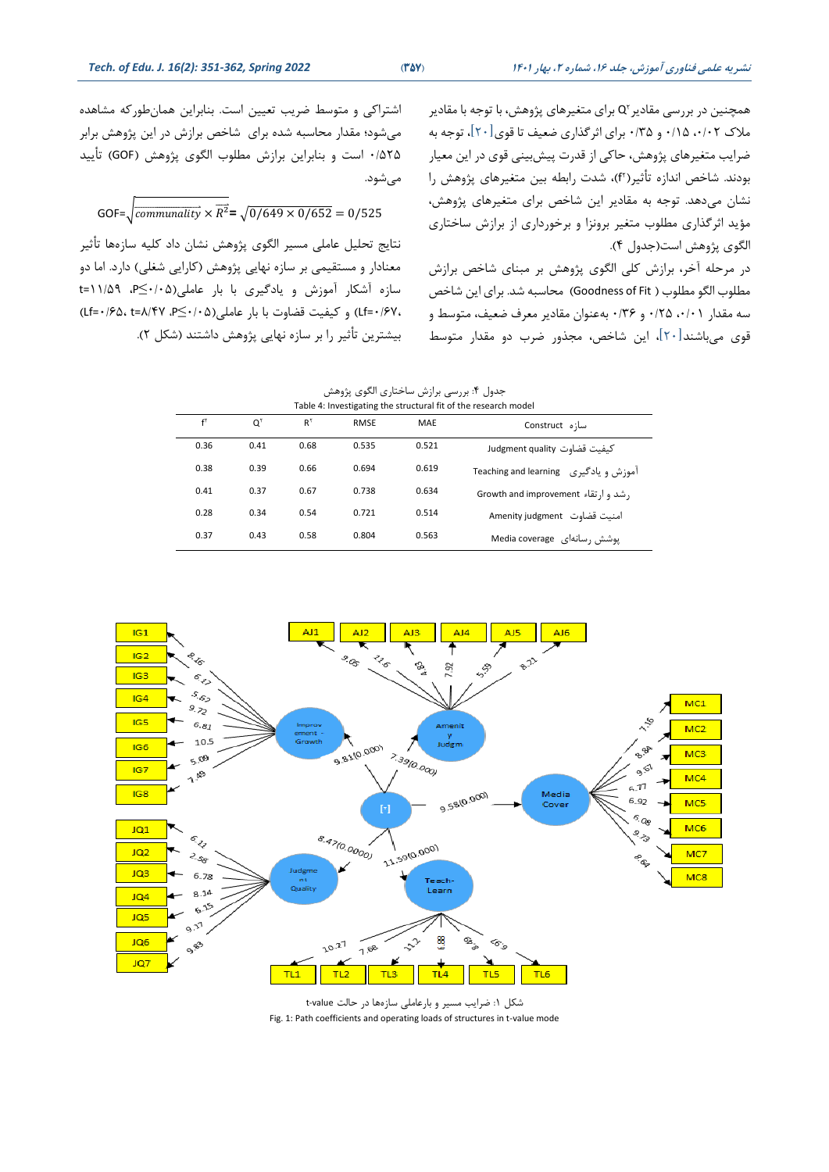همچنین در بررسی مقادیر ٔQ برای متغیرهای پژوهش، با توجه با مقادیر ملاک ۰/۱۲ ،۵۰/۱۰ و ۰/۳۵ برای اثرگذاری ضعیف تا قوی[۲۰]، توجه به ضرایب متغیرهای پژوهش، حاکی از قدرت پیشبینی قوی در این معیار بودند. شاخص اندازه تاثیر(f٬)، شدت رابطه بین متغیرهای پژوهش را نشان میدهد. توجه به مقادیر این شاخص برای متغیرهای پژوهش، مؤید اثرگذاری مطلوب متغیر برونزا و برخورداری از برازش ساختاری الگوی پژوهش است(جدول ۴).

در مرحله آخر، برازش کلی الگوی پژوهش بر مبنای شاخص برازش مطلوب الگو مطلوب ( Goodness of Fit) محاسبه شد. برای این شاخص سه مقدار ۰/۲۱ (۲۴۰ و ۳۶/۶ بهعنوان مقادیر معرف ضعیف، متوسط و قوی میباشند[۲۰]، این شاخص، مجذور ضرب دو مقدار متوسط

اشتراکی و متوسط ضریب تعیین است. بنابراین همان طورکه مشاهده می شود؛ مقدار محاسبه شده برای شاخص برازش در این پژوهش برابر 0/525 است و بنابراین برازش مهلوو الگوی پژوهص )GOF )تأیید مے شود.

GOF= $\sqrt{\frac{communality}{k}} \times \overline{R^2} = \sqrt{\frac{0}{649} \times \frac{0}{652}} = \frac{0}{525}$ 

نرایج تدلیر عاملی مسیر الگوی پژوهص نشان داد کلیه سازهها تأثیر معنادار و مستقیمی بر سازه نهایی پژوهش (کارایی شغلی) دارد. اما دو سازه آشکار آموزش و یادگیری با بار عاملی)0/05≤ P، 11/59=t 0/67،=Lf )و کیفیت قضاوت با بار عاملی)0/05≤ P، 8/47=t 0/65،=Lf ) بیشترین تأثیر را بر سازه نهایی پژوهش داشتند (شکل ۲).

| جدول ۴: بررسی برازش ساختاری الگوی پژوهش |  |
|-----------------------------------------|--|
|-----------------------------------------|--|

| Table 4: Investigating the structural fit of the research model |      |               |             |       |                                       |  |
|-----------------------------------------------------------------|------|---------------|-------------|-------|---------------------------------------|--|
| $f^{\dagger}$                                                   | O١   | $R^{\dagger}$ | <b>RMSE</b> | MAE   | سا;ه Construct                        |  |
| 0.36                                                            | 0.41 | 0.68          | 0.535       | 0.521 | كيفيت قضاوت Judgment quality          |  |
| 0.38                                                            | 0.39 | 0.66          | 0.694       | 0.619 | آموزش و یادگیری Teaching and learning |  |
| 0.41                                                            | 0.37 | 0.67          | 0.738       | 0.634 | , شد و ا, تقاء Growth and improvement |  |
| 0.28                                                            | 0.34 | 0.54          | 0.721       | 0.514 | امنىت قضاوت Amenity judgment          |  |
| 0.37                                                            | 0.43 | 0.58          | 0.804       | 0.563 | یوشش , سانهای Media coverage          |  |



شکر :1 ضرایت مسیر و بارعاملی سازه ها در حالت value-t Fig. 1: Path coefficients and operating loads of structures in t-value mode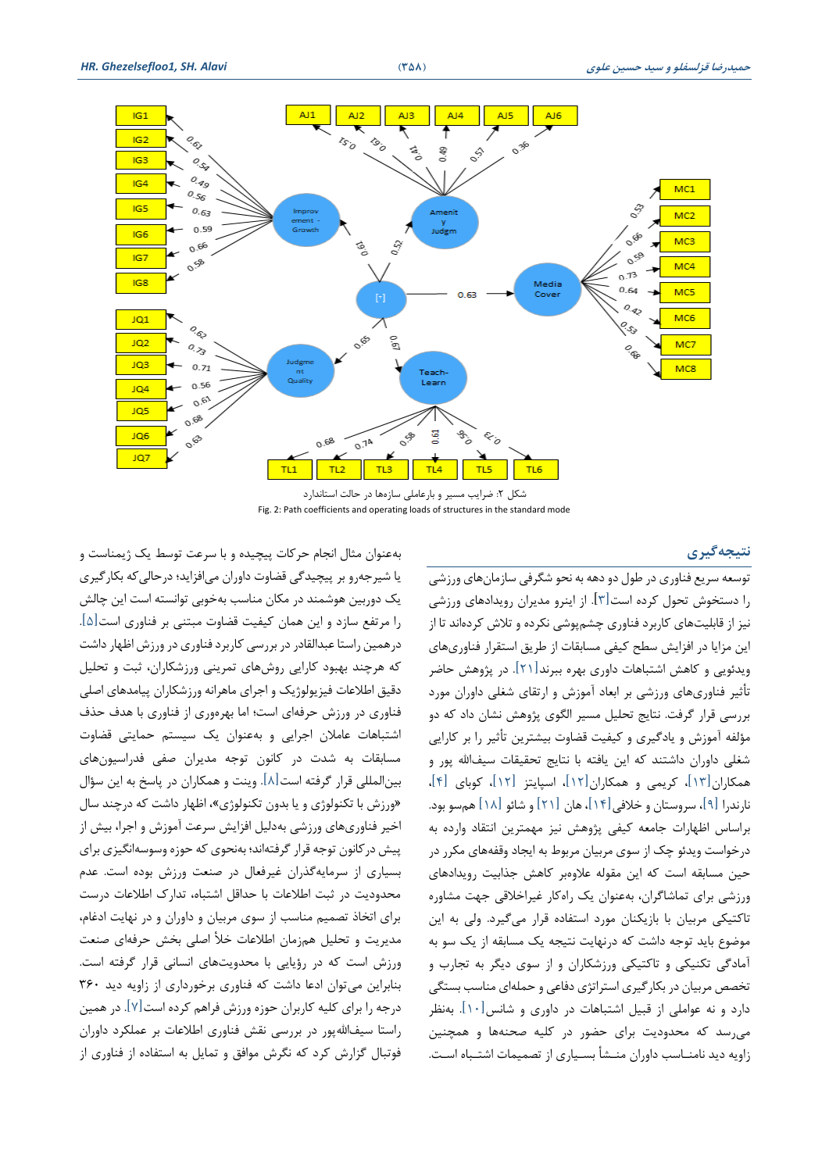

شکل ۲: ضرایب مسیر و بارعاملی سازهها در حالت استاندارد Fig. 2: Path coefficients and operating loads of structures in the standard mode

#### **نتیجهگیری**

توسعه سریع فناوری در طول دو دهه به نحو شگرفی سازمانهای ورزشی را دسرخوش تدول کرده است] 3[ از اینرو مدیران رویدادهای ورزشی نیز از قابلیتهای کاربرد فناوری چشمپوشی نکرده و تلاش کردهاند تا از این مزایا در افزایش سطح کیفی مسابقات از طریق استقرار فناوریهای ویدئویی و کاهص اشرباهات داوری بهره ببرند]21[ در پژوهص حاضر تأثیر فناوریهای ورزشی بر ابتاد آموزش و ارتاای شللی داوران مورد بررسی قرار گرفت. نتایج تحلیل مسیر الگوی پژوهش نشان داد که دو مؤلفه آموزش و یادگیری و کیفیت قضاوت بیشررین تأثیر را بر کارایی شغلی داوران داشتند که این یافته با نتایج تحقیقات سیفالله پور و همکاران[۱۳]، کریمی و همکاران[۱۲]، اسپایتز [۱۲]، کوبای [۴]، نارندرا [۹]، سروستان و خلافی [۱۴]، هان [۲۱] و شائو [۱۸] هم سو بود. براساس اظهارات جامعه کیفی پژوهش نیز مهمترین انتقاد وارده به درخواست ویدئو چک از سوی مربیان مربوط به ایجاد وقفههای مکرر در حین مسابقه است که این مقوله علاوهبر کاهش جذابیت رویدادهای ورزشی برای تماشاگران، بهعنوان یک راهکار غیراطالقی جهت مشاوره تاکتیکی مربیان با بازیکنان مورد استفاده قرار میگیرد. ولی به این موضوع باید توجه داشت که درنهایت نتیجه یک مسابقه از یک سو به آمادگی تکنیکی و تاکتیکی ورزشکاران و از سوی دیگر به تجارب و تخصص مربیان در بکار گیری استراتژی دفاعی و حملهای مناسب بستگی دارد و نه عواملی از قبیل اشتباهات در داوری و شانس[۱۰]. بهنظر میرسد که مددودیت برای حضور در کلیه صدنهها و همینین زاویه دید نامنــاسب داوران منــشأ بســیاری از تصمیمات اشتــباه اســت.

یا شیرجهرو بر پیییدگی قضاوت داوران میافزاید؛ درحالیکه بکارگیری یک دوربین هوشمند در مکان مناسب بهخوبی توانسته است این چالش را مرتفع سازد و این همان کیفیت قضاوت مبرنی بر فناوری است ]5[ درهمین راستا عبدالقادر در بررسی کاربرد فناوری در ورزش اظهار داشت که هرچند بهبود کارایی روشهای تمرینی ورزشکاران، ثبت و تدلیر دقیق اطلاعات فیزیولوژیک و اجرای ماهرانه ورزشکاران پیامدهای اصلی فناوری در ورزش حرفهای است ؛ اما بهره وری از فناوری با هدف حذف اشتباهات عاملان اجرایی و بهعنوان یک سیستم حمایتی قضاوت مسابقات به شدت در کانون توجه مدیران صفی فدراسیونهای بینالمللی قرار گرفته است $[\land]$ . وینت و همکاران در پاسخ به این سؤال »ورزش با تکنولوژی و یا بدون تکنولوژی«، اظهار داشت که در چند سال اطیر فناوریهای ورزشی بهدلیر افزایص سرعت آموزش و اجرا، بیص از پیش در کانون توجه قرار گرفتهاند؛ بهنحوی که حوزه وسوسهانگیزی برای بسیاری از سرمایهگذران غیرفتال در صنتت ورزش بوده است عدم مددودیت در ثبت ایالعات با حداقر اشرباه، تدارک ایالعات درست برای اتخاذ تصمیم مناسب از سوی مربیان و داوران و در نهایت ادغام، مدیریت و تحلیل همزمان اطلاعات خلأ اصلی بخش حرفهای صنعت ورزش است که در رؤیایی با محدویتهای انسانی قرار گرفته است. بنابراین میتوان ادعا داشت که فناوری برطورداری از زاویه دید 360 درجه را برای کلیه کاربران حوزه ورزش فراهم کرده است [۷]. در همین راستا سیف الله پور در بررسی نقش فناوری اطلاعات بر عملکرد داوران فوتبال گزارش کرد که نگرش موافت و تمایر به اسرفاده از فناوری از

بهعنوان مثال انجام حرکات پیییده و با سرعت توسط یک ژیمناست و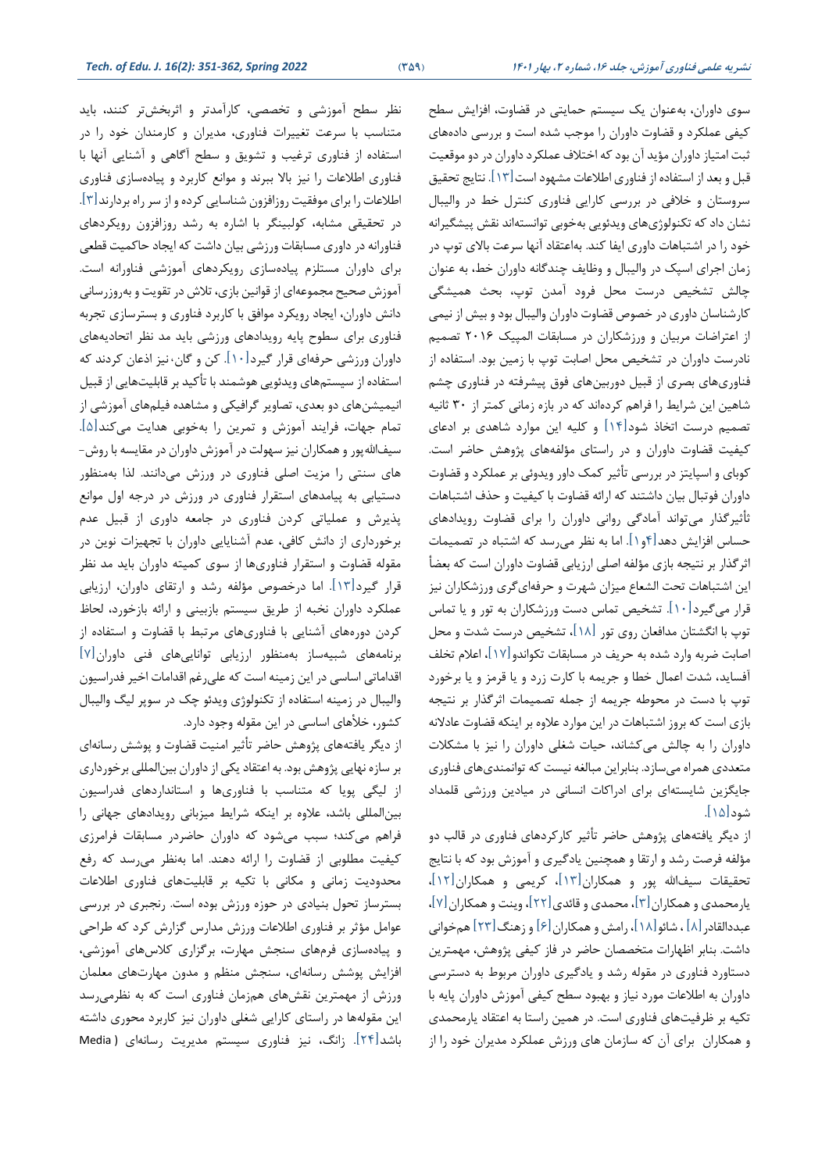سوی داوران، بهعنوان یک سیستم حمایتی در قضاوت، افزایش سطح کیفی عملکرد و قضاوت داوران را موجت شده است و بررسی دادههای ثبت امتیاز داوران مؤید آن بود که اختلاف عملکرد داوران در دو موقعیت قبل و بعد از استفاده از فناوری اطلاعات مشهود است $[11]$ . نتایج تحقیق سروستان و خلافی در بررسی کارایی فناوری کنترل خط در والیبال نشان داد که تکنولوژیهای ویدئویی بهخوبی توانستهاند نقش پیشگیرانه خود را در اشتباهات داوری ایفا کند. بهاعتقاد آنها سرعت بالای توپ در زمان اجرای اسپک در والیبال و وظایف چندگانه داوران طط، به عنوان چالش تشخیص درست محل فرود آمدن توپ، بحث همیشگی کارشناسان داوری در خصوص قضاوت داوران والیبال بود و بیش از نیمی از اعتراضات مربیان و ورزشکاران در مسابقات المپیک ۲۰۱۶ تصمیم نادرست داوران در تشخیص محل اصابت توپ با زمین بود. استفاده از فناوریهای بصری از قبیل دوربینهای فوق پیشرفته در فناوری چشم شاهین این شرایط را فراهم کردهاند که در بازه زمانی کمتر از ۳۰ ثانیه تصمیم درست اتخاذ شود $[14]$  و کلیه این موارد شاهدی بر ادعای کیفیت قضاوت داوران و در راستای مؤلفههای پژوهش حاضر است. کوبای و اسپایرز در بررسی تأثیر کمک داور ویدوئی بر عملکرد و قضاوت داوران فوتبال بیان داشتند که ارائه قضاوت با کیفیت و حذف اشتباهات ثأثیرگذار میتواند آمادگی روانی داوران را برای قضاوت رویدادهای حساس افزایص دهد]4و1[ اما به نظر میرسد که اشرباه در تممیمات اثرگذار بر نتیجه بازی مؤلفه اصلی ارزیابی قضاوت داوران است که بعضأ این اشتباهات تحت الشعاع میزان شهرت و حرفهای گری ورزشکاران نیز قرار میگیرد $1\cdot$ اً. تشخیص تماس دست ورزشکاران به تور و یا تماس توپ با انگشتان مدافعان روی تور [۱۸]، تشخیص درست شدت و محل اصابت ضربه وارد شده به حریف در مساباات تکواندو] 17[، اعالم تخلف آفساید، شدت اعمال طها و جریمه با کارت زرد و یا قرمز و یا برطورد توپ با دست در محوطه جریمه از جمله تصمیمات اثرگذار بر نتیجه بازی است که بروز اشتباهات در این موارد علاوه بر اینکه قضاوت عادلانه داوران را به چالص میکشاند، حیات شللی داوران را نیز با مشکالت مرتددی همراه میسازد بنابراین مبالله نیست که توانمندیهای فناوری جایگزین شایسرهای برای ادراکات انسانی در میادین ورزشی قلمداد شود[۱۵].

از دیگر یافتههای پژوهش حاضر تأثیر کارکردهای فناوری در قالب دو مؤلفه فرصت رشد و ارتقا و همچنین یادگیری و آموزش بود که با نتایج تحقیقات سیفالله پور و همکاران[۱۳]، کریمی و همکاران[۱۲]، یارمدمدی و همکاران ]3[، مدمدی و قائدی ]22[ ، وینت و همکاران]7[ ، عبددالقادر [۸] ، شائو [۱۸]، رامش و همکاران [۶] و زهنگ [۲۳] همخوانی داشت. بنابر اظهارات متخصصان حاضر در فاز کیفی پژوهش، مهمترین دستاورد فناوری در مقوله رشد و یادگیری داوران مربوط به دسترسی داوران به اطلاعات مورد نیاز و بهبود سطح کیفی آموزش داوران پایه با تکیه بر ظرفیتهای فناوری است. در همین راستا به اعتقاد یارمحمدی و همکاران برای آن که سازمان های ورزش عملکرد مدیران طود را از

نظر سهح آموزشی و تخممی، کارآمدتر و اثربخصتر کنند، باید متناسب با سرعت تغییرات فناوری، مدیران و کارمندان خود را در اسرفاده از فناوری ترغیت و تشویت و سهح آگاهی و آشنایی آنها با فناوری ایالعات را نیز باال ببرند و موانع کاربرد و پیاده ساز ی فناور ی ایالعات را برای موفایت روزافزون شناسایی کرده و از سر راه بردارند]3[ در تحقیقی مشابه، کولبینگر با اشاره به رشد روزافزون رویکردهای فناورانه در داوری مسابقات ورزشی بیان داشت که ایجاد حاکمیت قطعی برای داوران مسرلزم پیادهسازی رویکردهای آموزشی فناورانه است آموزش صدیح مجموعهای از قوانین بازی، تالش در تاویت و بهروزرسانی دانص داوران، ایجاد رویکرد موافت با کاربرد فناوری و بسررسازی تجربه فناوری برای سهوح پایه رویدادهای ورزشی باید مد نظر اتدادیههای داوران ورزشی حرفهای قرار گیرد]10[ کن و گان**،** نیز ا عان کردند که استفاده از سیستمهای ویدئویی هوشمند با تأکید بر قابلیتهایی از قبیل انیمیشنهای دو بعدی، تصاویر گرافیکی و مشاهده فیلمهای آموزشی از تمام جهات، فرایند آموزش و تمرین را بهطوبی هدایت میکند]5[ سیفاللهپور و همکاران نیز سهولت در آموزش داوران در مقایسه با روش-های سنری را مزیت اصلی فناوری در ورزش میدانند لذا بهمنظور دستیابی به پیامدهای استقرار فناوری در ورزش در درجه اول موانع پذیرش و عملیاتی کردن فناوری در جامته داوری از قبیر عدم برطورداری از دانص کافی، عدم آشنایایی داوران با تجهیزات نوین در مقوله قضاوت و استقرار فناوریها از سوی کمیته داوران باید مد نظر قرار گیرد $\lceil \mathcal{Y} \rceil$ . اما درخصوص مؤلفه رشد و ارتقای داوران، ارزیابی عملکرد داوران نخبه از طریق سیستم بازبینی و ارائه بازخورد، لحاظ کردن دورههای آشنایی با فناوریهای مرتبط با قضاوت و اسرفاده از برنامههای شبیهساز بهمنظور ارزیابی تواناییهای فنی داوران]7[ اقداماتی اساسی در این زمینه است که علی رغم اقدامات اخیر فدراسیون والیبال در زمینه استفاده از تکنولوژی ویدئو چک در سوپر لیگ والیبال کشور، خلأهای اساسی در این مقوله وجود دارد.

از دیگر یافتههای پژوهش حاضر تأثیر امنیت قضاوت و پوشش رسانهای بر سازه نهایی پژوهش بود. به اعتقاد یکی از داوران بین المللی برخورداری از لیگی پویا که متناسب با فناوریها و استانداردهای فدراسیون بینالمللی باشد، عالوه بر اینکه شرایط میزبانی رویدادهای جهانی را فراهم میکند؛ سبب میشود که داوران حاضردر مسابقات فرامرزی کیفیت مهلوبی از قضاوت را ارائه دهند اما بهنظر میرسد که رفع مددودیت زمانی و مکانی با تکیه بر قابلیتهای فناوری ایالعات بسررساز تدول بنیادی در حوزه ورزش بوده است رنجبری در بررسی عوامل مؤثر بر فناوری اطلاعات ورزش مدارس گزارش کرد که طراحی و پیادهسازی فرمهای سنجش مهارت، برگزاری کلاسهای آموزشی، افزایش پوشش رسانهای، سنجش منظم و مدون مهارتهای معلمان ورزش از مهمترین نقشهای همزمان فناوری است که به نظرمی رسد این مقولهها در راستای کارایی شغلی داوران نیز کاربرد محوری داشته باشد[۲۴]. زانگ، نیز فناوری سیستم مدیریت رسانهای ( Media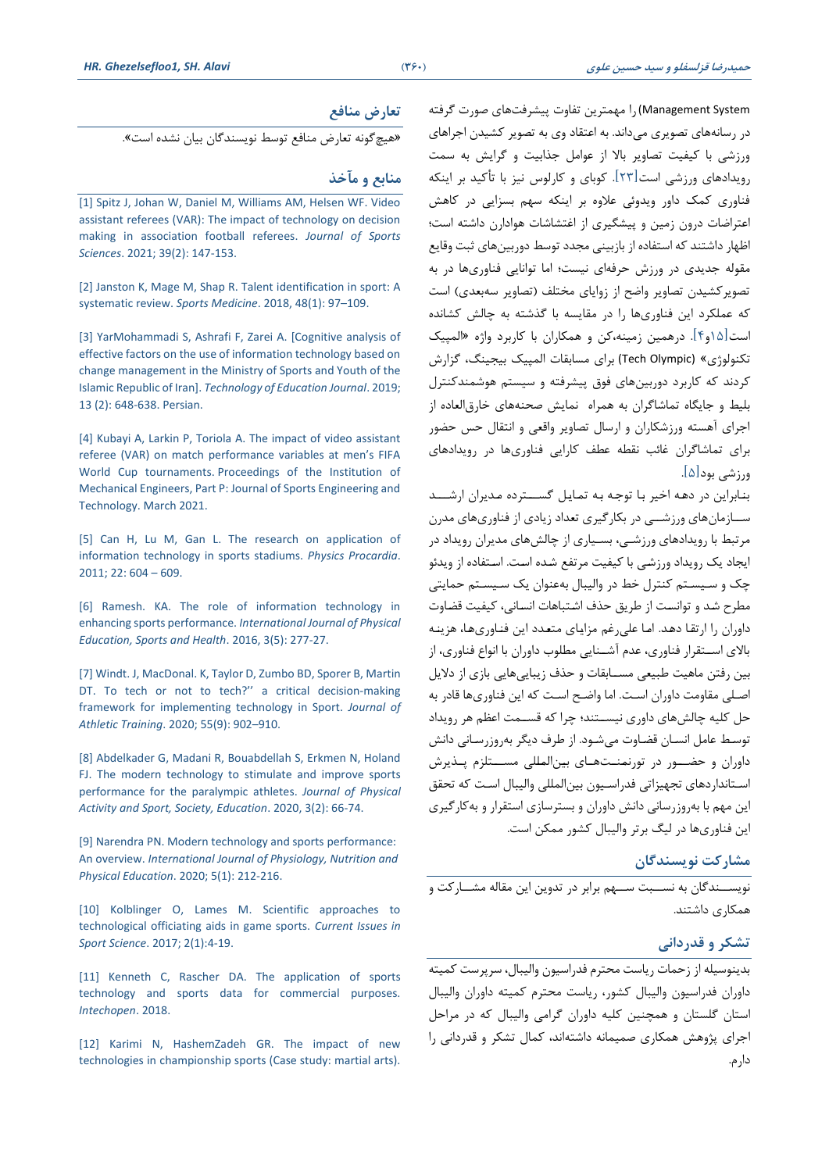#### **تعارض منافع**

»هیچگونه تتارض منافع توسط نویسندگان بیان نشده است«

#### **منابع و مآخذ**

[1] Spitz J, Johan W, Daniel [M, Williams AM, Helsen](https://www.tandfonline.com/doi/abs/10.1080/02640414.2020.1809163.‎) WF. Video [assistant referees \(VAR\): The impact of technology on decision](https://www.tandfonline.com/doi/abs/10.1080/02640414.2020.1809163.‎)  [making in association football referees](https://www.tandfonline.com/doi/abs/10.1080/02640414.2020.1809163.‎). *Journal of Sports Sciences*. 2021; 39(2): [147-153.](https://www.tandfonline.com/doi/abs/10.1080/02640414.2020.1809163.‎)

[2] Janston K, Mage M, Shap R. Talent identification in sport: A [systematic review.](https://pubmed.ncbi.nlm.nih.gov/29082463/.‎) *Sports Medicine*. 2018, 48(1): 97–109.

[3] YarMohammadi S, Ashrafi F, Zarei A. [Cognitive analysis of [effective factors on the use of information technology based on](https://jte.sru.ac.ir/article_871.html)  [change management in the Ministry of Sports and Youth of the](https://jte.sru.ac.ir/article_871.html)  Islamic Republic of Iran]. *[Technology of Education Journal](https://jte.sru.ac.ir/article_871.html)*. 2019; [13 \(2\): 648-638. Persian.](https://jte.sru.ac.ir/article_871.html)

[4] Kubayi A, Larkin P, Toriola A. The impact of video assistant referee (VAR) on match [performance variables at men's FIFA](https://journals.sagepub.com/doi/abs/10.1177/1754337121997581.‎)  World Cup tournaments. [Proceedings of the Institution of](https://journals.sagepub.com/doi/abs/10.1177/1754337121997581.‎)  [Mechanical Engineers, Part P: Journal of Sports Engineering and](https://journals.sagepub.com/doi/abs/10.1177/1754337121997581.‎)  [Technology. March 2021.](https://journals.sagepub.com/doi/abs/10.1177/1754337121997581.‎)

[5] Can H, Lu M, Gan L. The research on application of [information technology in sports stadiums.](https://www.researchgate.net/publication/257706528_The_Research_on_Application_of_Information_Technology_in_sports_‎Stadiums.‎) *Physics Procardia*. [2011;](https://www.researchgate.net/publication/257706528_The_Research_on_Application_of_Information_Technology_in_sports_‎Stadiums.‎) 22: 604 – 609.

[6] Ramesh. KA. The role of information technology in enhancing sports performance. *[International Journal of Physical](https://www.kheljournal.com/archives/2016/vol3issue5/PartE/3-5-19-453.‎)  [Education, Sports and Health](https://www.kheljournal.com/archives/2016/vol3issue5/PartE/3-5-19-453.‎)*. 2016, 3(5): 277-27.

[7] [Windt. J, MacDonal. K, Taylor D, Zumbo](https://pubmed.ncbi.nlm.nih.gov/32991702/.‎) BD, Sporer B, Martin [DT. To tech or not to t](https://pubmed.ncbi.nlm.nih.gov/32991702/.‎)ech?'' a critical decision-making [framework for implementing technology in Sport.](https://pubmed.ncbi.nlm.nih.gov/32991702/.‎) *Journal of [Athletic Training](https://pubmed.ncbi.nlm.nih.gov/32991702/.‎)*. 2020; 55(9): 902–910.

[8] [Abdelkader G, Madani R, Bouabdellah](https://www.academia.edu/44295179/The_Modern_Technology_to_Stimulate_and_Improve_Sports_Performance_for_the_Paralympic_Athletes) S, Erkmen N, Holand [FJ. The modern technology to stimulate and improve sports](https://www.academia.edu/44295179/The_Modern_Technology_to_Stimulate_and_Improve_Sports_Performance_for_the_Paralympic_Athletes)  [performance for the paralympic athletes.](https://www.academia.edu/44295179/The_Modern_Technology_to_Stimulate_and_Improve_Sports_Performance_for_the_Paralympic_Athletes) *Journal of Physical Activity and [Sport, Society, Education](https://www.academia.edu/44295179/The_Modern_Technology_to_Stimulate_and_Improve_Sports_Performance_for_the_Paralympic_Athletes)*. 2020, 3(2): 66-74.

[9] Narendra PN. Modern technology and sports performance: An overview. *[International Journal of Physiology, Nutrition and](https://www.researchgate.net/publication/344453659_The_Modern_Technology_to_Stimulate_and_Improve_Sports_Performance_for_the_Paralympic_Athletes.‎)  [Physical Education](https://www.researchgate.net/publication/344453659_The_Modern_Technology_to_Stimulate_and_Improve_Sports_Performance_for_the_Paralympic_Athletes.‎)*. 2020; 5(1): 212-216.

[10] Kolblinger O, Lames M. Scientific approaches to [technological officiating aids in game sports.](https://www.researchgate.net/publication/314719446_Scientific_approaches_to_technological_officiating_aids_in_game_sports.‎) *Current Issues in [Sport Science](https://www.researchgate.net/publication/314719446_Scientific_approaches_to_technological_officiating_aids_in_game_sports.‎)*. 2017; 2(1):4-19.

[11] Kenneth C, Rascher DA. The application of sports [technology and sports data for commercial purposes.](http://dx.doi.org/10.5772/intechopen.80742.‎)  *[Intechopen](http://dx.doi.org/10.5772/intechopen.80742.‎)*. 2018.

[12] Karimi N, HashemZadeh GR. The impact of new [technologies in championship sports \(Case study: martial arts\).](http://civilica.com.doc/426970.‎) Management System )را مهمترین تفاوت پیشرفتهای صورت گرفته در رسانههای تصویری میداند. به اعتقاد وی به تصویر کشیدن اجراهای ورزشی با کیفیت تماویر باال از عوامر جذابیت و گرایص به سمت رویدادهای ورزشی است ]23[ کوبای و کارلوس نیز با تأکید بر اینکه فناوری کمک داور ویدوئی علاوه بر اینکه سهم بسزایی در کاهش اعتراضات درون زمین و پیشگیری از اغتشاشات هوادارن داشته است؛ اظها, داشتند که استفاده از بازبینی مجدد توسط دوربینهای ثبت وقایع مقوله جدیدی در ورزش حرفهای نیست؛ اما توانایی فناوریها در به تصویرکشیدن تصاویر واضح از زوایای مختلف (تصاویر سهبعدی) است که عملکرد این فناوریها را در مقایسه با گذشته به چالش کشانده است ]15و4[ درهمین زمینه،کن و همکاران با کاربرد واژه »المپیک تکنولوژی» (Tech Olympic) برای مسابقات المپیک بیجینگ، گزارش کردند که کاربرد دوربینهای فوق پیشرفته و سیستم هوشمندکنترل بلیط و جایگاه تماشاگران به همراه نمایص صدنههای طار التاده از اجرای آهسته ورزشکاران و ارسال تصاویر واقعی و انتقال حس حضور برای تماشاگران غائت ناهه عهف کارایی فناوریها در رویدادهای ورزشی بود ]5[

بنابراین در دهه اخیر با توجه به تمایل گســترده مدیران ارشـــد سییازمانهای ورزشییی در بکارگیری تتداد زیادی از فناوریهای مدرن مرتبط با رویدادهای ورزشیی، بسییاری از چالصهای مدیران رویداد در ایجاد یک رویداد ورزشی با کیفیت مرتفع شده است. استفاده از ویدئو چک و سییسیر کنررل طط در والیبال بهعنوان یک سییسیر حمایری مهرح شی د و توانسیت از یریت حذف اشیرباهات انسیانی، کیفیت قضیاوت داوران را ارتقا دهد. اما علی رغم مزایای متعدد این فناوریها، هزینه بالای اســتقرار فناوری، عدم آشــنایی مطلوب داوران با انواع فناوری، از بین رفتن ماهیت طبیعی مسـابقات و حذف زیباییهایی بازی از دلایل اصـلی مقاومت داوران اسـت. اما واضـح اسـت که این فناوریها قادر به حل کلیه چالشهای داوری نیسـتند؛ چرا که قسـمت اعظم هر رویداد توسط عامل انسان قضاوت می شـود. از طرف دیگر بهروزرسـانی دانش داوران و حضیور در تورنمنیتهیای بین المللی مسیتلزم پیذیرش اسـتانداردهای تجهیزاتی فدراسـیون بین|لمللی والیبال اسـت که تحقق این مهم با بهروزرسانی دانش داوران و بسترسازی استقرار و بهکارگیری این فناوریها در لیگ برتر والیبال کشور ممکن است

# **مشارکت نویسندگان**

نویسییندگان به نسییبت سییه برابر در تدوین این مااله مشییارکت و همکاری داشتند.

#### **تشکر و قدردانی**

بدینوسیله از زحمات ریاست مدررم فدراسیون والیبال، سرپرست کمیره داوران فدراسیون والیبال کشور، ریاست مدررم کمیره داوران والیبال استان گلستان و همچنین کلیه داوران گرامی والیبال که در مراحل اجرای پژوهش همکاری صمیمانه داشتهاند، کمال تشکر و قدردانی را دارم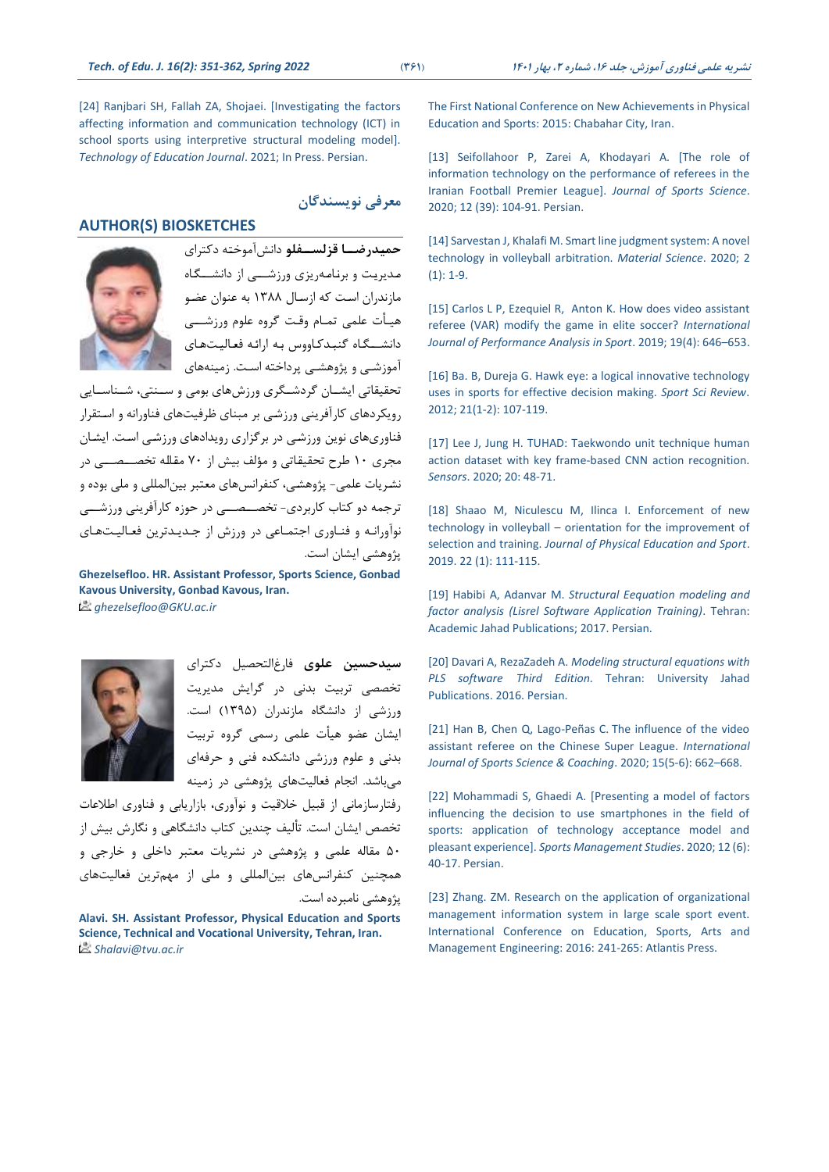[24] Ranjbari SH, Fallah ZA, Shojaei. [Investigating the factors [affecting information and communication technology \(ICT\) in](https://jte.sru.ac.ir/article_1050.html‏.‏)  [school sports using interpretive structural modeling model\].](https://jte.sru.ac.ir/article_1050.html‏.‏)  *Technology [of Education Journal](https://jte.sru.ac.ir/article_1050.html‏.‏)*. 2021; In Press. Persian.

# **معرفی نویسندگان**

#### **AUTHOR(S) BIOSKETCHES**



**حمییدرضییا قزلسییفلو** دانصآموطریه دکررای میدیرییت و برنیامیهریزی ورزشیییی از دانشیییگیاه مازندران اسیت که ازسیال 1388 به عنوان عضیو هییأت علمی تمیام وقیت گروه علوم ورزشیییی دانشیییگیاه گنبیدکیاووس بیه ارائیه فتیالییتهیای آموزشیی و پژوهشیی پرداطره اسیت زمینههای

تحقیقاتی ایشــان گردشــگری ورزشهای بومی و ســنتی، شــناســایی رویکردهای کارآفرینی ورزشی بر مبنای ظرفیتهای فناورانه و استقرار فناوریهای نوین ورزشیی در برگزاری رویدادهای ورزشیی اسیت ایشیان مجری ۱۰ طرح تحقیقاتی و مؤلف بیش از ۷۰ مقاله تخصــصــی در نشریات علمی- پژوهشی، کنفرانسهای معتبر بینالمللی و ملی بوده و ترجمه دو کتاب کاربردی- تخصیصیی در حوزه کارآفرینی ورزشیی نوآورانه و فناوری اجتماعی در ورزش از جدیدترین فعالیتهای پژوهشی ایشان است

**Ghezelsefloo. HR. Assistant Professor, Sports Science, Gonbad Kavous University, Gonbad Kavous, Iran.** *ghezelsefloo@GKU.ac.ir*



**سیدحسین علوی** فارغالردمیر دکررای تخممی تربیت بدنی در گرایص مدیریت ورزشی از دانشگاه مازندران )1395( است ایشان عضو هیأت علمی رسمی گروه تربیت بدنی و علوم ورزشی دانشکده فنی و حرفهای میباشد انجام فتالیتهای پژوهشی در زمینه

رفتارسازمانی از قبیل خلاقیت و نوآوری، بازاریابی و فناوری اطلاعات تخصص ایشان است. تألیف چندین کتاب دانشگاهی و نگارش بیش از ۵۰ مقاله علمی و پژوهشی در نشریات معتبر داخلی و خارجی و همچنین کنفرانس های بینالمللی و ملی از مهمترین فعالیتهای پژوهشی نامبرده است

**Alavi. SH. Assistant Professor, Physical Education and Sports Science, Technical and Vocational University, Tehran, Iran.** *Shalavi@tvu.ac.ir*

[The First National Conference on New Achievements in Physical](http://civilica.com.doc/426970.‎)  [Education and Sports: 2015: Chabahar City, Iran.](http://civilica.com.doc/426970.‎)

[13] Seifollahoor P, Zarei A, Khodayari A. [The role of [information technology on the performance of referees in the](http://ssqj.kiau.ac.ir/article_680185.html)  [Iranian Football Premier League\].](http://ssqj.kiau.ac.ir/article_680185.html) *Journal of Sports Science*. 2020; [12 \(39\): 104-91.](http://ssqj.kiau.ac.ir/article_680185.html) Persian.

[14] Sarvestan J, Khalafi M. Smart line judgment system: A novel [technology in volleyball arbitration.](http://insight.piscomed.com/index.php/IMS/article/download/200/185‎‏.‏) *Material Science*. 2020; 2 [\(1\): 1-9.](http://insight.piscomed.com/index.php/IMS/article/download/200/185‎‏.‏)

[15] [Carlos L P, Ezequiel R, Anton](https://ideas.repec.org/a/taf/rpanxx/v19y2019i4p646-653.html‎‏.‏) K. How does video assistant [referee \(VAR\) modify the game in elite soccer?](https://ideas.repec.org/a/taf/rpanxx/v19y2019i4p646-653.html‎‏.‏) *International [Journal of Performance Analysis in Sport](https://ideas.repec.org/a/taf/rpanxx/v19y2019i4p646-653.html‎‏.‏)*. 2019; 19(4): 646–653.

[16] Ba. B, Dureja G. Hawk eye: a logical innovative technology uses [in sports for effective decision making.](http://archive.sciendo.com/SSR/ssr.2012.xxi.issue-1-2/v10237-012-0006-6/v10237-012-0006-6.pdf‎) *Sport Sci Review*. [2012; 21\(1-2\): 107-119.](http://archive.sciendo.com/SSR/ssr.2012.xxi.issue-1-2/v10237-012-0006-6/v10237-012-0006-6.pdf‎)

[17] Lee J, Jung H. TUHAD: Taekwondo unit technique human [action dataset with key frame-based CNN action recognition.](https://www.mdpi.com/1424-8220/20/17/4871.‎)  *Sensors*. 2020; [20: 48-71.](https://www.mdpi.com/1424-8220/20/17/4871.‎)

[18] Shaao M, Niculescu M, Ilinca I. Enforcement of new technology in volleyball – [orientation for the improvement of](https://efsupit.ro/images/stories/imgs/JPES/2009/7_shaoo.pdf.‎)  selection and training. *[Journal of Physical Education and Sport](https://efsupit.ro/images/stories/imgs/JPES/2009/7_shaoo.pdf.‎)*. 2019. [22 \(1\): 111-115.](https://efsupit.ro/images/stories/imgs/JPES/2009/7_shaoo.pdf.‎)

]19[ Habibi A, Adanvar M. *[Structural Eequation modeling and](https://www.isba.ir/MainPage.aspx?ID=7414&kind=6&bcode=54‎‏.‏)  [factor analysis \(Lisrel Software Application Training\)](https://www.isba.ir/MainPage.aspx?ID=7414&kind=6&bcode=54‎‏.‏)*. Tehran: [Academic Jahad Publications;](https://www.isba.ir/MainPage.aspx?ID=7414&kind=6&bcode=54‎‏.‏) 2017. Persian.

]20[ Davari A, RezaZadeh A. *[Modeling structural equations with](http://opac.nlai.ir/opac-prod/bibliographic/3231323‎)  PLS software Third Edition.* [Tehran: University Jahad](http://opac.nlai.ir/opac-prod/bibliographic/3231323‎)  Publications. [2016. Persian.](http://opac.nlai.ir/opac-prod/bibliographic/3231323‎)

[21] Han B, Chen Q, Lago-Peñas C. The influence of the video [assistant referee on the Chinese Super League.](https://journals.sagepub.com/doi/abs/10.1177/1747954120938984‎‏) *International [Journal of Sports Science & Coaching](https://journals.sagepub.com/doi/abs/10.1177/1747954120938984‎‏)*. 2020; 15(5-6): 662–668.

[22] Mohammadi S, Ghaedi A. [Presenting a model of factors [influencing the decision to use smartphones in the field of](https://smrj.ssrc.ac.ir/article_1569.html)  [sports: application of technology acceptance model and](https://smrj.ssrc.ac.ir/article_1569.html)  pleasant experience]. *[Sports Management Studies](https://smrj.ssrc.ac.ir/article_1569.html)*. 2020; 12 (6): [40-17. Persian.](https://smrj.ssrc.ac.ir/article_1569.html)

[23] Zhang. ZM. Research on the application of organizational [management information system in large scale sport event.](https://www.atlantis-press.com/proceedings/icesame-16/25851038‎‏.‏)  [International Conference on Education, Sports, Arts and](https://www.atlantis-press.com/proceedings/icesame-16/25851038‎‏.‏)  Management Engineering: [2016: 241-265: Atlantis Press.](https://www.atlantis-press.com/proceedings/icesame-16/25851038‎‏.‏)